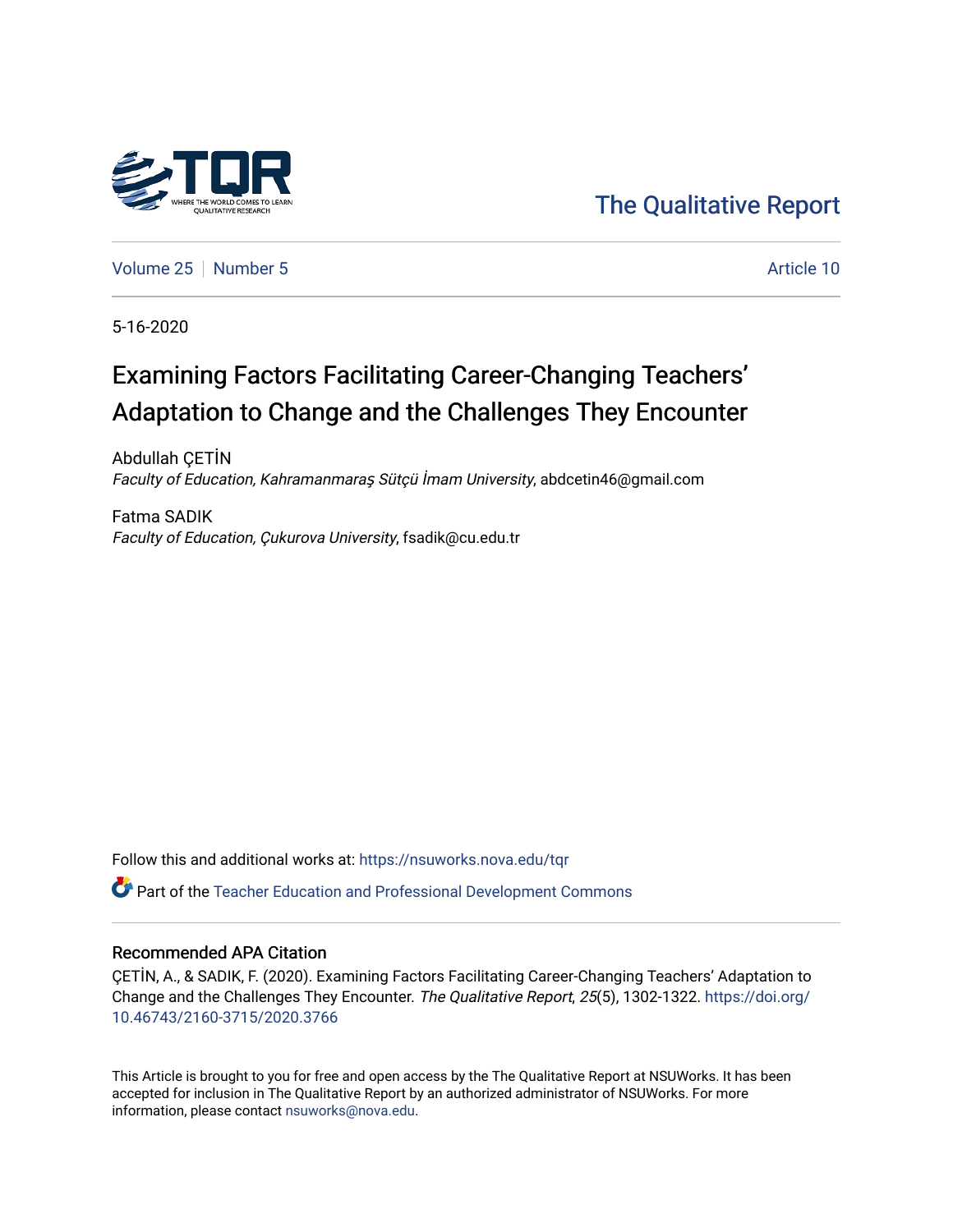

[The Qualitative Report](https://nsuworks.nova.edu/tqr) 

[Volume 25](https://nsuworks.nova.edu/tqr/vol25) [Number 5](https://nsuworks.nova.edu/tqr/vol25/iss5) Article 10

5-16-2020

## Examining Factors Facilitating Career-Changing Teachers' Adaptation to Change and the Challenges They Encounter

Abdullah ÇETİN Faculty of Education, Kahramanmaraş Sütçü İmam University, abdcetin46@gmail.com

Fatma SADIK Faculty of Education, Çukurova University, fsadik@cu.edu.tr

Follow this and additional works at: [https://nsuworks.nova.edu/tqr](https://nsuworks.nova.edu/tqr?utm_source=nsuworks.nova.edu%2Ftqr%2Fvol25%2Fiss5%2F10&utm_medium=PDF&utm_campaign=PDFCoverPages) 

Part of the [Teacher Education and Professional Development Commons](http://network.bepress.com/hgg/discipline/803?utm_source=nsuworks.nova.edu%2Ftqr%2Fvol25%2Fiss5%2F10&utm_medium=PDF&utm_campaign=PDFCoverPages) 

#### Recommended APA Citation

ÇETİN, A., & SADIK, F. (2020). Examining Factors Facilitating Career-Changing Teachers' Adaptation to Change and the Challenges They Encounter. The Qualitative Report, 25(5), 1302-1322. [https://doi.org/](https://doi.org/10.46743/2160-3715/2020.3766) [10.46743/2160-3715/2020.3766](https://doi.org/10.46743/2160-3715/2020.3766)

This Article is brought to you for free and open access by the The Qualitative Report at NSUWorks. It has been accepted for inclusion in The Qualitative Report by an authorized administrator of NSUWorks. For more information, please contact [nsuworks@nova.edu.](mailto:nsuworks@nova.edu)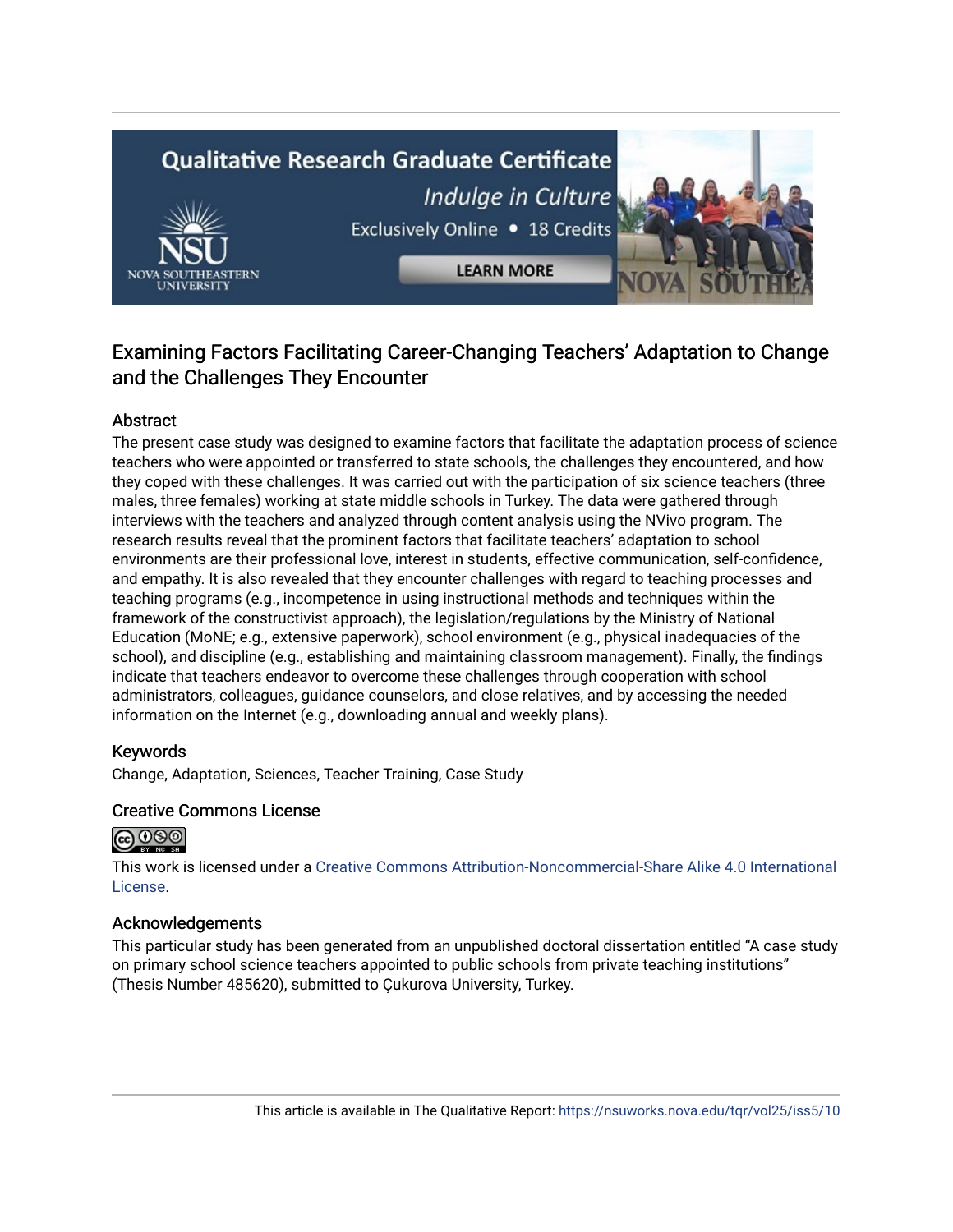# **Qualitative Research Graduate Certificate** Indulge in Culture Exclusively Online . 18 Credits

**LEARN MORE** 

### Examining Factors Facilitating Career-Changing Teachers' Adaptation to Change and the Challenges They Encounter

#### Abstract

The present case study was designed to examine factors that facilitate the adaptation process of science teachers who were appointed or transferred to state schools, the challenges they encountered, and how they coped with these challenges. It was carried out with the participation of six science teachers (three males, three females) working at state middle schools in Turkey. The data were gathered through interviews with the teachers and analyzed through content analysis using the NVivo program. The research results reveal that the prominent factors that facilitate teachers' adaptation to school environments are their professional love, interest in students, effective communication, self-confidence, and empathy. It is also revealed that they encounter challenges with regard to teaching processes and teaching programs (e.g., incompetence in using instructional methods and techniques within the framework of the constructivist approach), the legislation/regulations by the Ministry of National Education (MoNE; e.g., extensive paperwork), school environment (e.g., physical inadequacies of the school), and discipline (e.g., establishing and maintaining classroom management). Finally, the findings indicate that teachers endeavor to overcome these challenges through cooperation with school administrators, colleagues, guidance counselors, and close relatives, and by accessing the needed information on the Internet (e.g., downloading annual and weekly plans).

#### Keywords

Change, Adaptation, Sciences, Teacher Training, Case Study

#### Creative Commons License



This work is licensed under a [Creative Commons Attribution-Noncommercial-Share Alike 4.0 International](https://creativecommons.org/licenses/by-nc-sa/4.0/)  [License](https://creativecommons.org/licenses/by-nc-sa/4.0/).

#### Acknowledgements

This particular study has been generated from an unpublished doctoral dissertation entitled "A case study on primary school science teachers appointed to public schools from private teaching institutions" (Thesis Number 485620), submitted to Çukurova University, Turkey.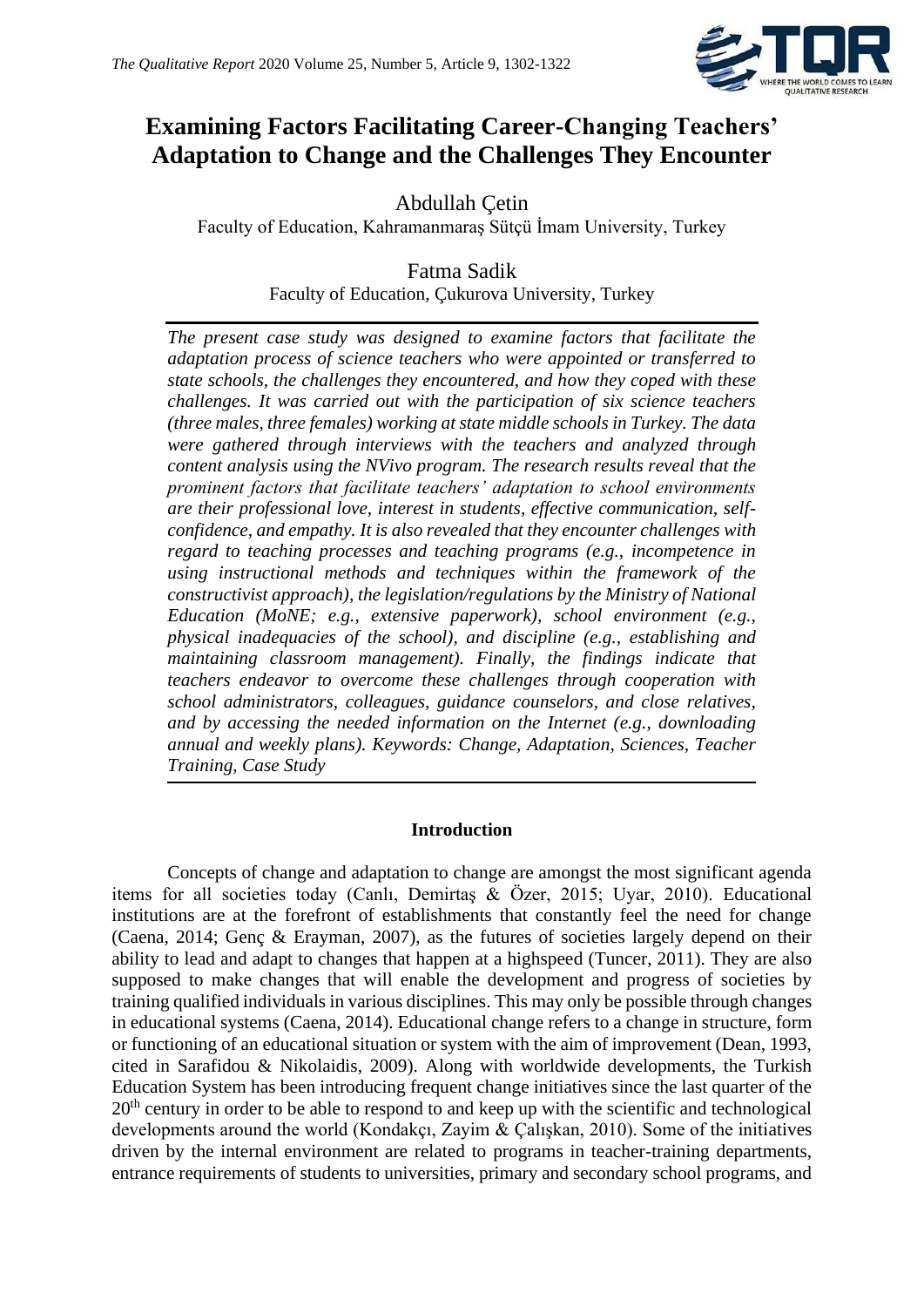

## **Examining Factors Facilitating Career-Changing Teachers' Adaptation to Change and the Challenges They Encounter**

Abdullah Çetin Faculty of Education, Kahramanmaraş Sütçü İmam University, Turkey

> Fatma Sadik Faculty of Education, Çukurova University, Turkey

*The present case study was designed to examine factors that facilitate the adaptation process of science teachers who were appointed or transferred to state schools, the challenges they encountered, and how they coped with these challenges. It was carried out with the participation of six science teachers (three males, three females) working at state middle schools in Turkey. The data were gathered through interviews with the teachers and analyzed through content analysis using the NVivo program. The research results reveal that the prominent factors that facilitate teachers' adaptation to school environments are their professional love, interest in students, effective communication, selfconfidence, and empathy. It is also revealed that they encounter challenges with regard to teaching processes and teaching programs (e.g., incompetence in using instructional methods and techniques within the framework of the constructivist approach), the legislation/regulations by the Ministry of National Education (MoNE; e.g., extensive paperwork), school environment (e.g., physical inadequacies of the school), and discipline (e.g., establishing and maintaining classroom management). Finally, the findings indicate that teachers endeavor to overcome these challenges through cooperation with school administrators, colleagues, guidance counselors, and close relatives, and by accessing the needed information on the Internet (e.g., downloading annual and weekly plans). Keywords: Change, Adaptation, Sciences, Teacher Training, Case Study*

#### **Introduction**

Concepts of change and adaptation to change are amongst the most significant agenda items for all societies today (Canlı, Demirtaş & Özer, 2015; Uyar, 2010). Educational institutions are at the forefront of establishments that constantly feel the need for change (Caena, 2014; Genç & Erayman, 2007), as the futures of societies largely depend on their ability to lead and adapt to changes that happen at a highspeed (Tuncer, 2011). They are also supposed to make changes that will enable the development and progress of societies by training qualified individuals in various disciplines. This may only be possible through changes in educational systems (Caena, 2014). Educational change refers to a change in structure, form or functioning of an educational situation or system with the aim of improvement (Dean, 1993, cited in Sarafidou & Nikolaidis, 2009). Along with worldwide developments, the Turkish Education System has been introducing frequent change initiatives since the last quarter of the  $20<sup>th</sup>$  century in order to be able to respond to and keep up with the scientific and technological developments around the world (Kondakçı, Zayim & Çalışkan, 2010). Some of the initiatives driven by the internal environment are related to programs in teacher-training departments, entrance requirements of students to universities, primary and secondary school programs, and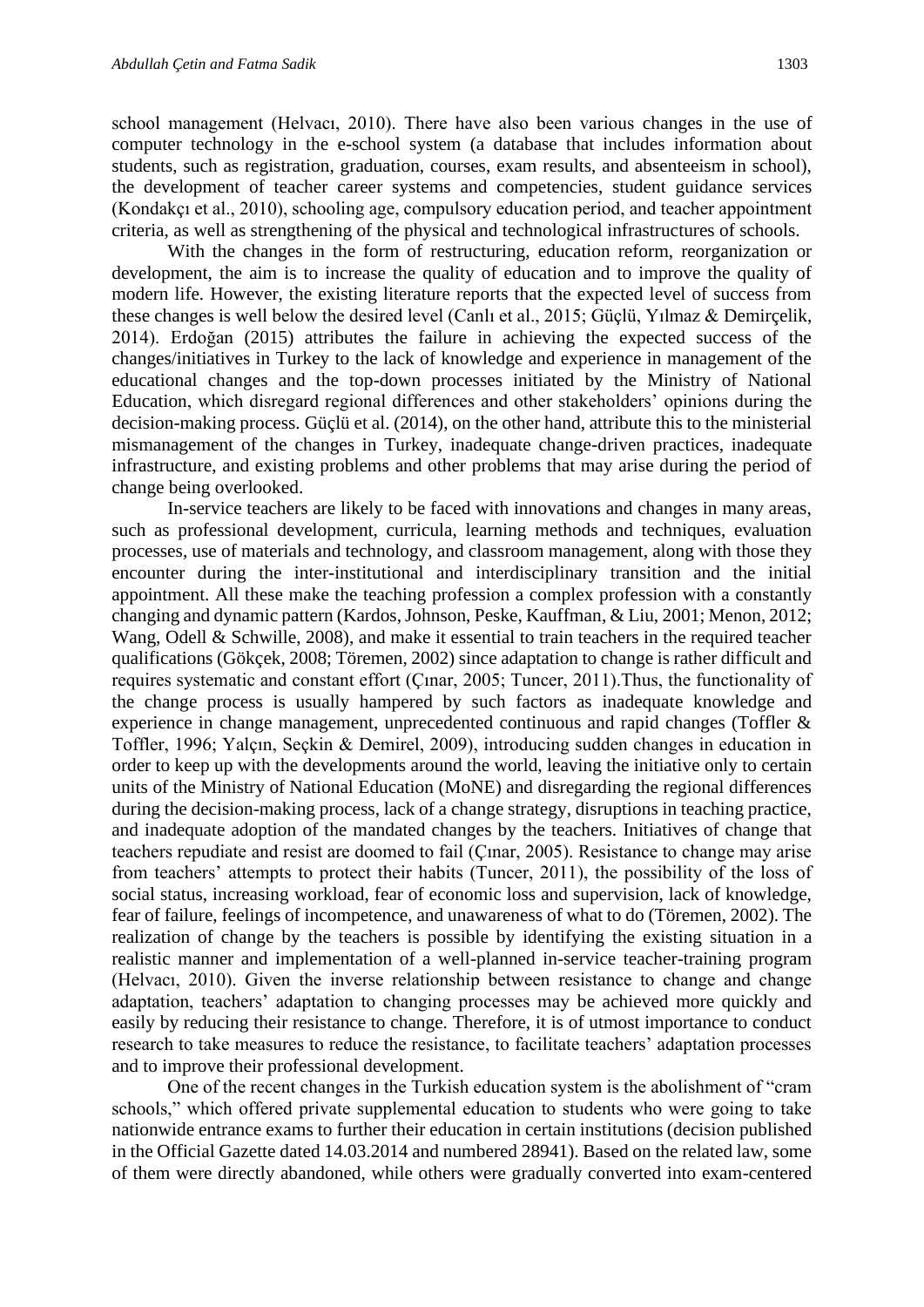school management (Helvacı, 2010). There have also been various changes in the use of computer technology in the e-school system (a database that includes information about students, such as registration, graduation, courses, exam results, and absenteeism in school), the development of teacher career systems and competencies, student guidance services (Kondakçı et al., 2010), schooling age, compulsory education period, and teacher appointment criteria, as well as strengthening of the physical and technological infrastructures of schools.

With the changes in the form of restructuring, education reform, reorganization or development, the aim is to increase the quality of education and to improve the quality of modern life. However, the existing literature reports that the expected level of success from these changes is well below the desired level (Canlı et al., 2015; Güçlü, Yılmaz & Demirçelik, 2014). Erdoğan (2015) attributes the failure in achieving the expected success of the changes/initiatives in Turkey to the lack of knowledge and experience in management of the educational changes and the top-down processes initiated by the Ministry of National Education, which disregard regional differences and other stakeholders' opinions during the decision-making process. Güçlü et al. (2014), on the other hand, attribute this to the ministerial mismanagement of the changes in Turkey, inadequate change-driven practices, inadequate infrastructure, and existing problems and other problems that may arise during the period of change being overlooked.

In-service teachers are likely to be faced with innovations and changes in many areas, such as professional development, curricula, learning methods and techniques, evaluation processes, use of materials and technology, and classroom management, along with those they encounter during the inter-institutional and interdisciplinary transition and the initial appointment. All these make the teaching profession a complex profession with a constantly changing and dynamic pattern (Kardos, Johnson, Peske, Kauffman, & Liu, 2001; Menon, 2012; Wang, Odell & Schwille, 2008), and make it essential to train teachers in the required teacher qualifications (Gökçek, 2008; Töremen, 2002) since adaptation to change is rather difficult and requires systematic and constant effort (Çınar, 2005; Tuncer, 2011).Thus, the functionality of the change process is usually hampered by such factors as inadequate knowledge and experience in change management, unprecedented continuous and rapid changes (Toffler & Toffler, 1996; Yalçın, Seçkin & Demirel, 2009), introducing sudden changes in education in order to keep up with the developments around the world, leaving the initiative only to certain units of the Ministry of National Education (MoNE) and disregarding the regional differences during the decision-making process, lack of a change strategy, disruptions in teaching practice, and inadequate adoption of the mandated changes by the teachers. Initiatives of change that teachers repudiate and resist are doomed to fail (Çınar, 2005). Resistance to change may arise from teachers' attempts to protect their habits (Tuncer, 2011), the possibility of the loss of social status, increasing workload, fear of economic loss and supervision, lack of knowledge, fear of failure, feelings of incompetence, and unawareness of what to do (Töremen, 2002). The realization of change by the teachers is possible by identifying the existing situation in a realistic manner and implementation of a well-planned in-service teacher-training program (Helvacı, 2010). Given the inverse relationship between resistance to change and change adaptation, teachers' adaptation to changing processes may be achieved more quickly and easily by reducing their resistance to change. Therefore, it is of utmost importance to conduct research to take measures to reduce the resistance, to facilitate teachers' adaptation processes and to improve their professional development.

One of the recent changes in the Turkish education system is the abolishment of "cram schools," which offered private supplemental education to students who were going to take nationwide entrance exams to further their education in certain institutions (decision published in the Official Gazette dated 14.03.2014 and numbered 28941). Based on the related law, some of them were directly abandoned, while others were gradually converted into exam-centered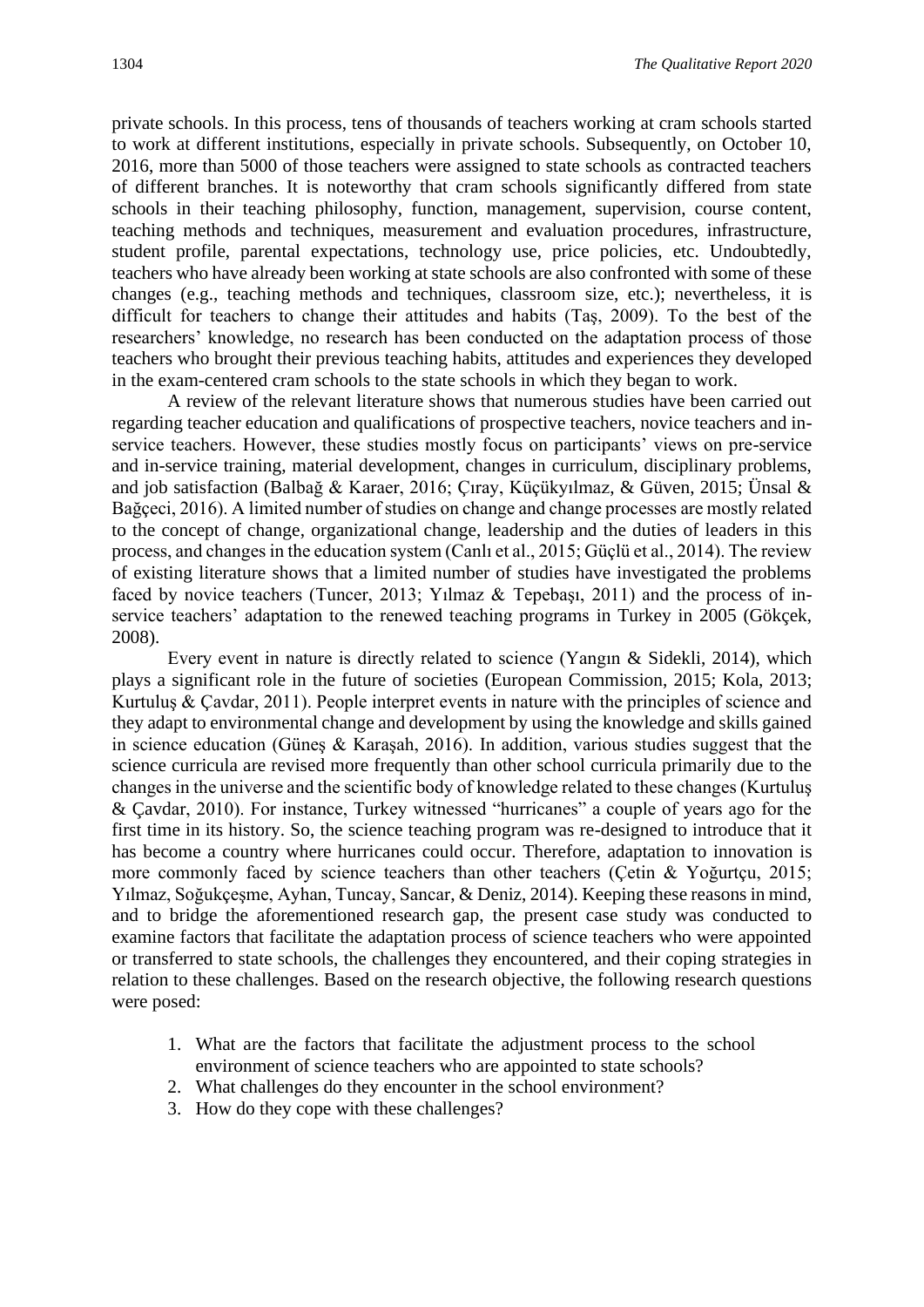private schools. In this process, tens of thousands of teachers working at cram schools started to work at different institutions, especially in private schools. Subsequently, on October 10, 2016, more than 5000 of those teachers were assigned to state schools as contracted teachers of different branches. It is noteworthy that cram schools significantly differed from state schools in their teaching philosophy, function, management, supervision, course content, teaching methods and techniques, measurement and evaluation procedures, infrastructure, student profile, parental expectations, technology use, price policies, etc. Undoubtedly, teachers who have already been working at state schools are also confronted with some of these changes (e.g., teaching methods and techniques, classroom size, etc.); nevertheless, it is difficult for teachers to change their attitudes and habits (Taş, 2009). To the best of the researchers' knowledge, no research has been conducted on the adaptation process of those teachers who brought their previous teaching habits, attitudes and experiences they developed in the exam-centered cram schools to the state schools in which they began to work.

A review of the relevant literature shows that numerous studies have been carried out regarding teacher education and qualifications of prospective teachers, novice teachers and inservice teachers. However, these studies mostly focus on participants' views on pre-service and in-service training, material development, changes in curriculum, disciplinary problems, and job satisfaction (Balbağ & Karaer, 2016; Çıray, Küçükyılmaz, & Güven, 2015; Ünsal & Bağçeci, 2016). A limited number of studies on change and change processes are mostly related to the concept of change, organizational change, leadership and the duties of leaders in this process, and changes in the education system (Canlı et al., 2015; Güçlü et al., 2014). The review of existing literature shows that a limited number of studies have investigated the problems faced by novice teachers (Tuncer, 2013; Yılmaz & Tepebaşı, 2011) and the process of inservice teachers' adaptation to the renewed teaching programs in Turkey in 2005 (Gökçek, 2008).

Every event in nature is directly related to science (Yangın & Sidekli, 2014), which plays a significant role in the future of societies (European Commission, 2015; Kola, 2013; Kurtuluş & Çavdar, 2011). People interpret events in nature with the principles of science and they adapt to environmental change and development by using the knowledge and skills gained in science education (Günes & Karasah, 2016). In addition, various studies suggest that the science curricula are revised more frequently than other school curricula primarily due to the changes in the universe and the scientific body of knowledge related to these changes (Kurtuluş & Çavdar, 2010). For instance, Turkey witnessed "hurricanes" a couple of years ago for the first time in its history. So, the science teaching program was re-designed to introduce that it has become a country where hurricanes could occur. Therefore, adaptation to innovation is more commonly faced by science teachers than other teachers (Çetin & Yoğurtçu, 2015; Yılmaz, Soğukçeşme, Ayhan, Tuncay, Sancar, & Deniz, 2014). Keeping these reasons in mind, and to bridge the aforementioned research gap, the present case study was conducted to examine factors that facilitate the adaptation process of science teachers who were appointed or transferred to state schools, the challenges they encountered, and their coping strategies in relation to these challenges. Based on the research objective, the following research questions were posed:

- 1. What are the factors that facilitate the adjustment process to the school environment of science teachers who are appointed to state schools?
- 2. What challenges do they encounter in the school environment?
- 3. How do they cope with these challenges?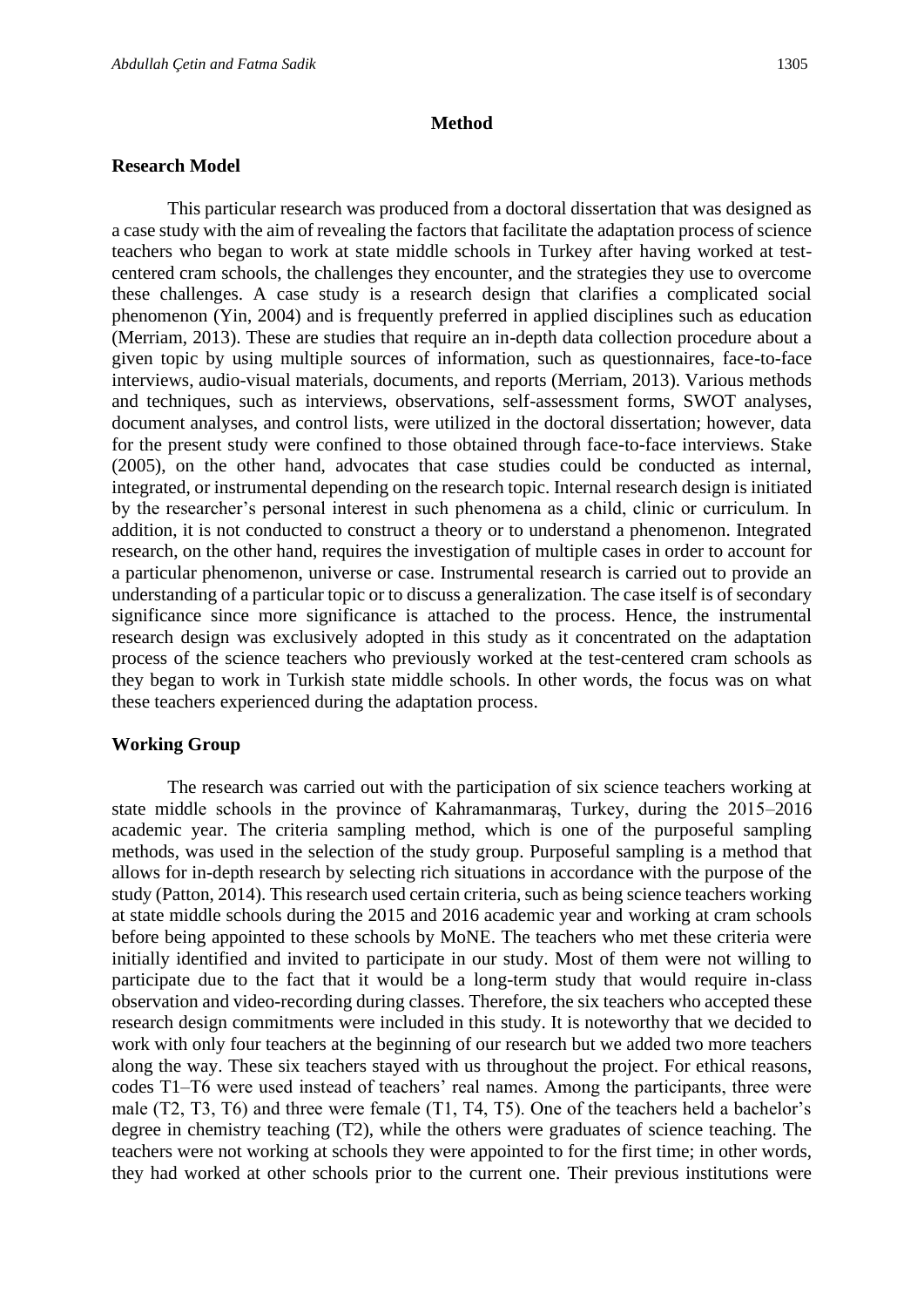#### **Method**

#### **Research Model**

This particular research was produced from a doctoral dissertation that was designed as a case study with the aim of revealing the factors that facilitate the adaptation process of science teachers who began to work at state middle schools in Turkey after having worked at testcentered cram schools, the challenges they encounter, and the strategies they use to overcome these challenges. A case study is a research design that clarifies a complicated social phenomenon (Yin, 2004) and is frequently preferred in applied disciplines such as education (Merriam, 2013). These are studies that require an in-depth data collection procedure about a given topic by using multiple sources of information, such as questionnaires, face-to-face interviews, audio-visual materials, documents, and reports (Merriam, 2013). Various methods and techniques, such as interviews, observations, self-assessment forms, SWOT analyses, document analyses, and control lists, were utilized in the doctoral dissertation; however, data for the present study were confined to those obtained through face-to-face interviews. Stake (2005), on the other hand, advocates that case studies could be conducted as internal, integrated, or instrumental depending on the research topic. Internal research design is initiated by the researcher's personal interest in such phenomena as a child, clinic or curriculum. In addition, it is not conducted to construct a theory or to understand a phenomenon. Integrated research, on the other hand, requires the investigation of multiple cases in order to account for a particular phenomenon, universe or case. Instrumental research is carried out to provide an understanding of a particular topic or to discuss a generalization. The case itself is of secondary significance since more significance is attached to the process. Hence, the instrumental research design was exclusively adopted in this study as it concentrated on the adaptation process of the science teachers who previously worked at the test-centered cram schools as they began to work in Turkish state middle schools. In other words, the focus was on what these teachers experienced during the adaptation process.

#### **Working Group**

The research was carried out with the participation of six science teachers working at state middle schools in the province of Kahramanmaraş, Turkey, during the 2015–2016 academic year. The criteria sampling method, which is one of the purposeful sampling methods, was used in the selection of the study group. Purposeful sampling is a method that allows for in-depth research by selecting rich situations in accordance with the purpose of the study (Patton, 2014). This research used certain criteria, such as being science teachers working at state middle schools during the 2015 and 2016 academic year and working at cram schools before being appointed to these schools by MoNE. The teachers who met these criteria were initially identified and invited to participate in our study. Most of them were not willing to participate due to the fact that it would be a long-term study that would require in-class observation and video-recording during classes. Therefore, the six teachers who accepted these research design commitments were included in this study. It is noteworthy that we decided to work with only four teachers at the beginning of our research but we added two more teachers along the way. These six teachers stayed with us throughout the project. For ethical reasons, codes T1–T6 were used instead of teachers' real names. Among the participants, three were male (T2, T3, T6) and three were female (T1, T4, T5). One of the teachers held a bachelor's degree in chemistry teaching (T2), while the others were graduates of science teaching. The teachers were not working at schools they were appointed to for the first time; in other words, they had worked at other schools prior to the current one. Their previous institutions were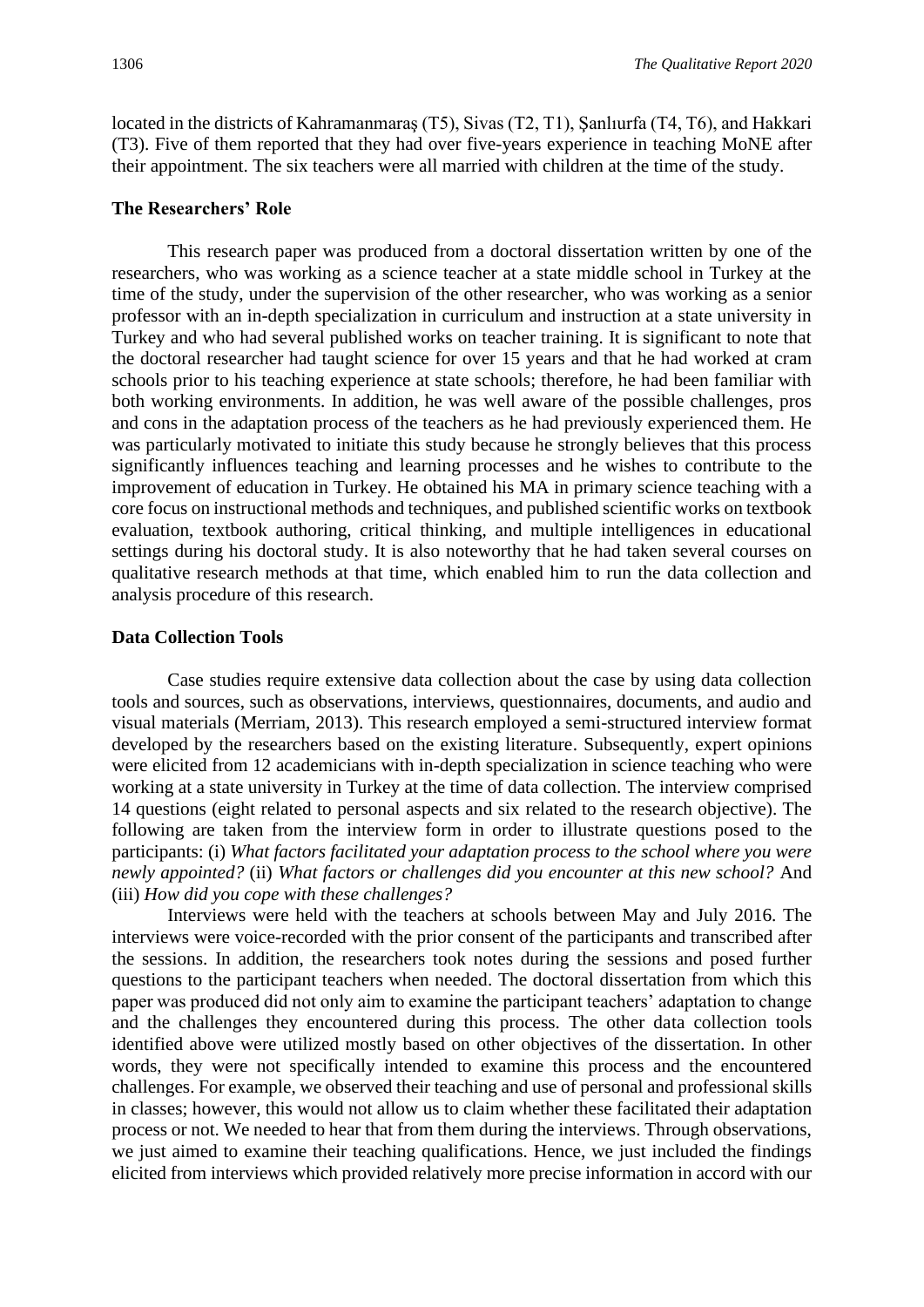located in the districts of Kahramanmaraş (T5), Sivas (T2, T1), Şanlıurfa (T4, T6), and Hakkari (T3). Five of them reported that they had over five-years experience in teaching MoNE after their appointment. The six teachers were all married with children at the time of the study.

#### **The Researchers' Role**

This research paper was produced from a doctoral dissertation written by one of the researchers, who was working as a science teacher at a state middle school in Turkey at the time of the study, under the supervision of the other researcher, who was working as a senior professor with an in-depth specialization in curriculum and instruction at a state university in Turkey and who had several published works on teacher training. It is significant to note that the doctoral researcher had taught science for over 15 years and that he had worked at cram schools prior to his teaching experience at state schools; therefore, he had been familiar with both working environments. In addition, he was well aware of the possible challenges, pros and cons in the adaptation process of the teachers as he had previously experienced them. He was particularly motivated to initiate this study because he strongly believes that this process significantly influences teaching and learning processes and he wishes to contribute to the improvement of education in Turkey. He obtained his MA in primary science teaching with a core focus on instructional methods and techniques, and published scientific works on textbook evaluation, textbook authoring, critical thinking, and multiple intelligences in educational settings during his doctoral study. It is also noteworthy that he had taken several courses on qualitative research methods at that time, which enabled him to run the data collection and analysis procedure of this research.

#### **Data Collection Tools**

Case studies require extensive data collection about the case by using data collection tools and sources, such as observations, interviews, questionnaires, documents, and audio and visual materials (Merriam, 2013). This research employed a semi-structured interview format developed by the researchers based on the existing literature. Subsequently, expert opinions were elicited from 12 academicians with in-depth specialization in science teaching who were working at a state university in Turkey at the time of data collection. The interview comprised 14 questions (eight related to personal aspects and six related to the research objective). The following are taken from the interview form in order to illustrate questions posed to the participants: (i) *What factors facilitated your adaptation process to the school where you were newly appointed?* (ii) *What factors or challenges did you encounter at this new school?* And (iii) *How did you cope with these challenges?*

Interviews were held with the teachers at schools between May and July 2016. The interviews were voice-recorded with the prior consent of the participants and transcribed after the sessions. In addition, the researchers took notes during the sessions and posed further questions to the participant teachers when needed. The doctoral dissertation from which this paper was produced did not only aim to examine the participant teachers' adaptation to change and the challenges they encountered during this process. The other data collection tools identified above were utilized mostly based on other objectives of the dissertation. In other words, they were not specifically intended to examine this process and the encountered challenges. For example, we observed their teaching and use of personal and professional skills in classes; however, this would not allow us to claim whether these facilitated their adaptation process or not. We needed to hear that from them during the interviews. Through observations, we just aimed to examine their teaching qualifications. Hence, we just included the findings elicited from interviews which provided relatively more precise information in accord with our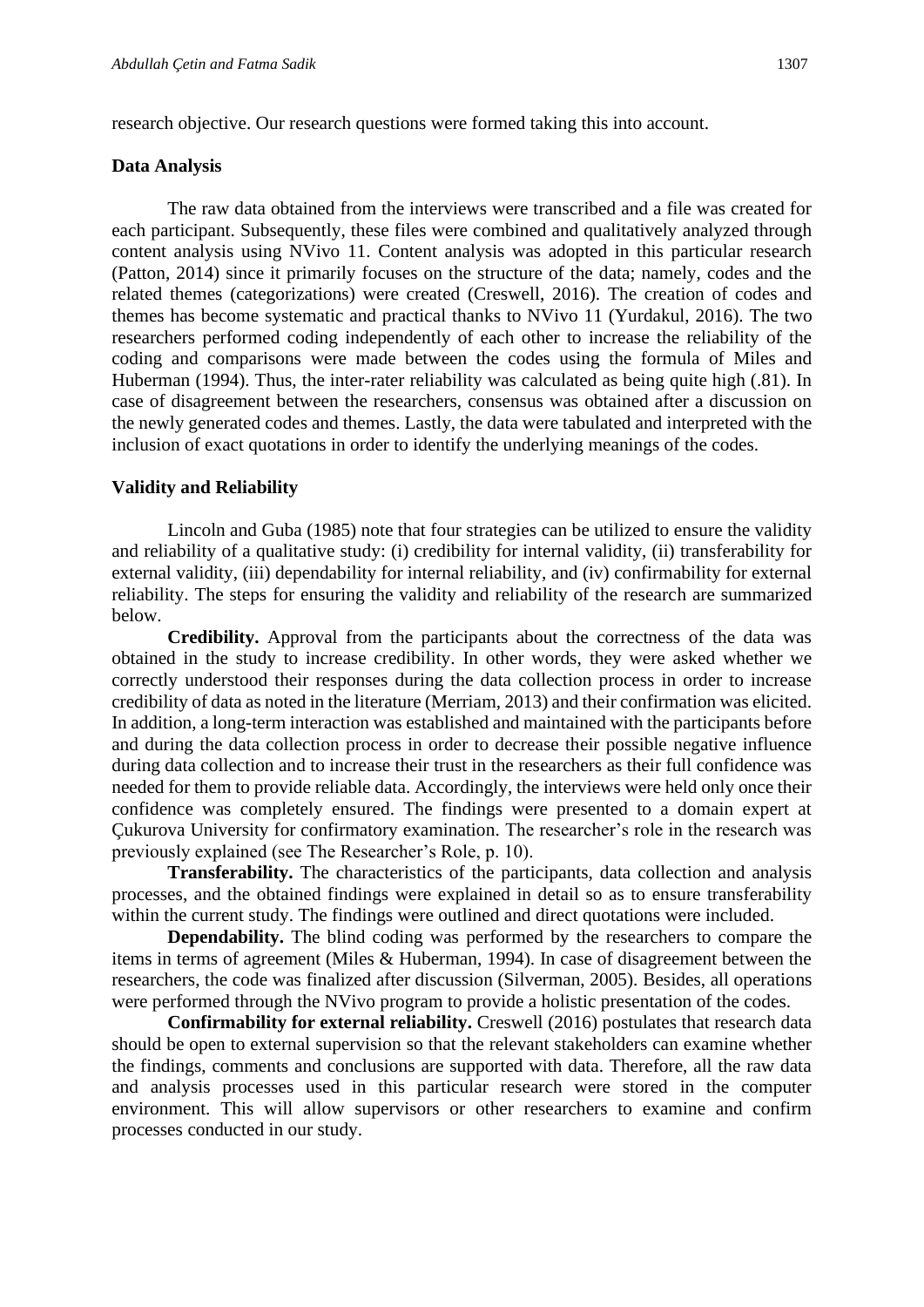research objective. Our research questions were formed taking this into account.

#### **Data Analysis**

The raw data obtained from the interviews were transcribed and a file was created for each participant. Subsequently, these files were combined and qualitatively analyzed through content analysis using NVivo 11. Content analysis was adopted in this particular research (Patton, 2014) since it primarily focuses on the structure of the data; namely, codes and the related themes (categorizations) were created (Creswell, 2016). The creation of codes and themes has become systematic and practical thanks to NVivo 11 (Yurdakul, 2016). The two researchers performed coding independently of each other to increase the reliability of the coding and comparisons were made between the codes using the formula of Miles and Huberman (1994). Thus, the inter-rater reliability was calculated as being quite high (.81). In case of disagreement between the researchers, consensus was obtained after a discussion on the newly generated codes and themes. Lastly, the data were tabulated and interpreted with the inclusion of exact quotations in order to identify the underlying meanings of the codes.

#### **Validity and Reliability**

Lincoln and Guba (1985) note that four strategies can be utilized to ensure the validity and reliability of a qualitative study: (i) credibility for internal validity, (ii) transferability for external validity, (iii) dependability for internal reliability, and (iv) confirmability for external reliability. The steps for ensuring the validity and reliability of the research are summarized below.

**Credibility.** Approval from the participants about the correctness of the data was obtained in the study to increase credibility. In other words, they were asked whether we correctly understood their responses during the data collection process in order to increase credibility of data as noted in the literature (Merriam, 2013) and their confirmation was elicited. In addition, a long-term interaction was established and maintained with the participants before and during the data collection process in order to decrease their possible negative influence during data collection and to increase their trust in the researchers as their full confidence was needed for them to provide reliable data. Accordingly, the interviews were held only once their confidence was completely ensured. The findings were presented to a domain expert at Çukurova University for confirmatory examination. The researcher's role in the research was previously explained (see The Researcher's Role, p. 10).

**Transferability.** The characteristics of the participants, data collection and analysis processes, and the obtained findings were explained in detail so as to ensure transferability within the current study. The findings were outlined and direct quotations were included.

**Dependability.** The blind coding was performed by the researchers to compare the items in terms of agreement (Miles & Huberman, 1994). In case of disagreement between the researchers, the code was finalized after discussion (Silverman, 2005). Besides, all operations were performed through the NVivo program to provide a holistic presentation of the codes.

**Confirmability for external reliability.** Creswell (2016) postulates that research data should be open to external supervision so that the relevant stakeholders can examine whether the findings, comments and conclusions are supported with data. Therefore, all the raw data and analysis processes used in this particular research were stored in the computer environment. This will allow supervisors or other researchers to examine and confirm processes conducted in our study.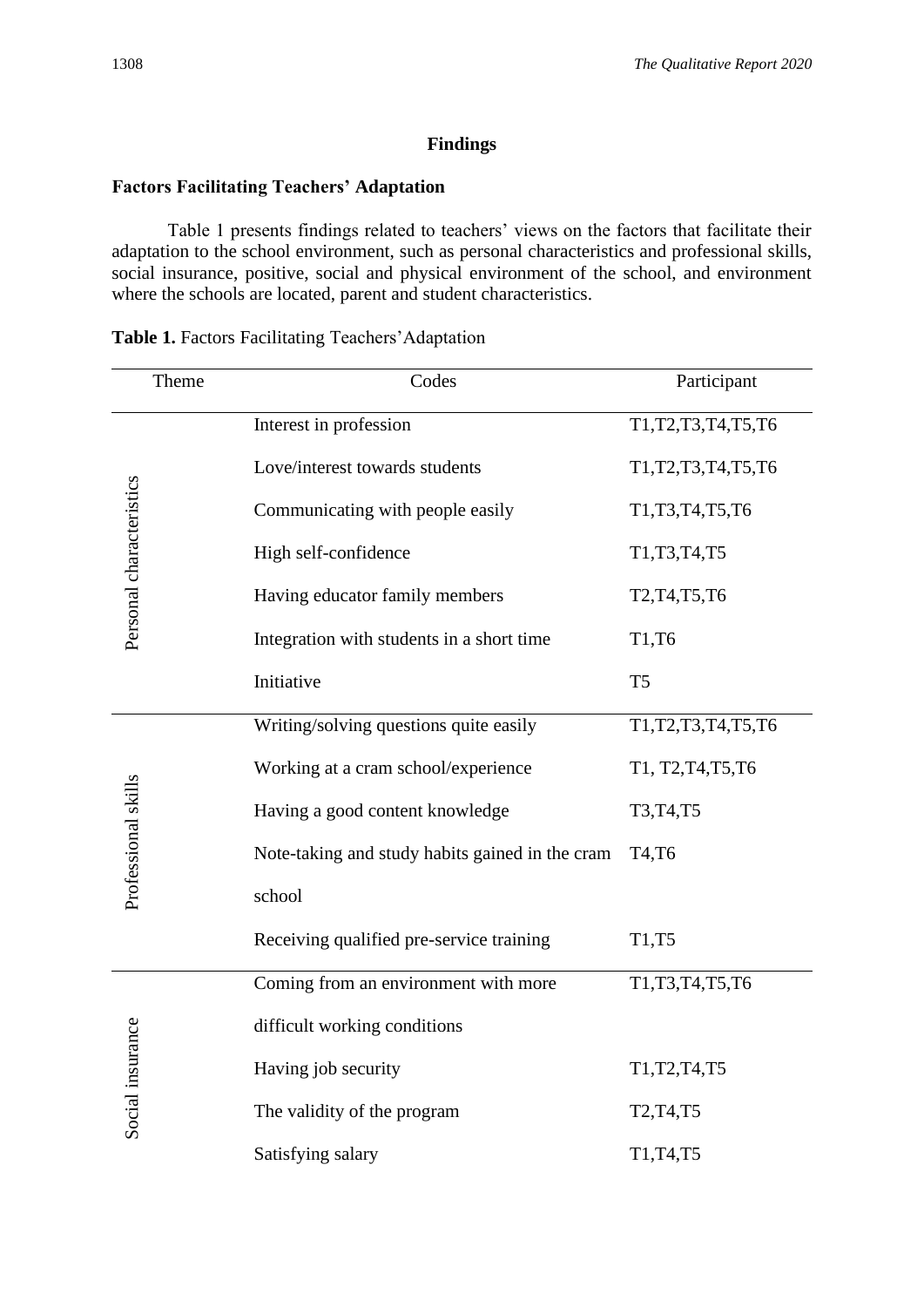#### **Findings**

#### **Factors Facilitating Teachers' Adaptation**

Table 1 presents findings related to teachers' views on the factors that facilitate their adaptation to the school environment, such as personal characteristics and professional skills, social insurance, positive, social and physical environment of the school, and environment where the schools are located, parent and student characteristics.

| Theme                    | Codes                                           | Participant                                      |
|--------------------------|-------------------------------------------------|--------------------------------------------------|
|                          | Interest in profession                          | T1, T2, T3, T4, T5, T6                           |
|                          | Love/interest towards students                  | T1, T2, T3, T4, T5, T6                           |
| Personal characteristics | Communicating with people easily                | T1, T3, T4, T5, T6                               |
|                          | High self-confidence                            | T1, T3, T4, T5                                   |
|                          | Having educator family members                  | T2, T4, T5, T6                                   |
|                          | Integration with students in a short time       | T1,T6                                            |
|                          | Initiative                                      | T <sub>5</sub>                                   |
|                          | Writing/solving questions quite easily          | T1, T2, T3, T4, T5, T6                           |
|                          | Working at a cram school/experience             | T1, T2, T4, T5, T6                               |
| Professional skills      | Having a good content knowledge                 | T3, T4, T5                                       |
|                          | Note-taking and study habits gained in the cram | T4,T6                                            |
|                          | school                                          |                                                  |
|                          | Receiving qualified pre-service training        | T1,T5                                            |
|                          | Coming from an environment with more            | T1, T3, T4, T5, T6                               |
|                          | difficult working conditions                    |                                                  |
| Social insurance         | Having job security                             | T1, T2, T4, T5                                   |
|                          | The validity of the program                     | T <sub>2</sub> , T <sub>4</sub> , T <sub>5</sub> |
|                          | Satisfying salary                               | T1, T4, T5                                       |

#### **Table 1.** Factors Facilitating Teachers'Adaptation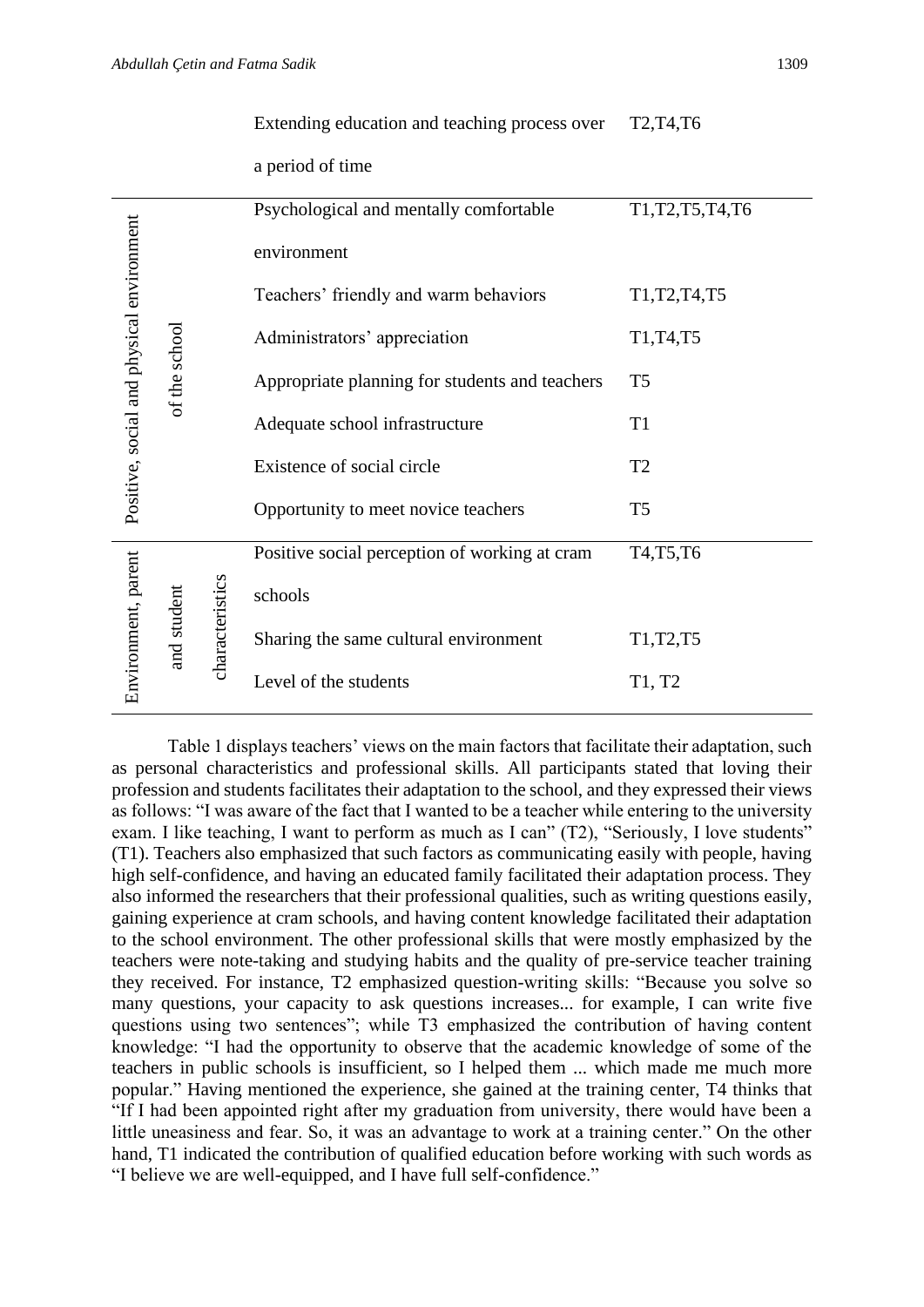|                                           |               |                                | a period of time                               |                                                                   |
|-------------------------------------------|---------------|--------------------------------|------------------------------------------------|-------------------------------------------------------------------|
| Positive, social and physical environment |               |                                | Psychological and mentally comfortable         | T1, T2, T5, T4, T6                                                |
|                                           |               |                                | environment                                    |                                                                   |
|                                           |               |                                | Teachers' friendly and warm behaviors          | T <sub>1</sub> , T <sub>2</sub> , T <sub>4</sub> , T <sub>5</sub> |
|                                           |               |                                | Administrators' appreciation                   | T1, T4, T5                                                        |
|                                           | of the school |                                | Appropriate planning for students and teachers | T <sub>5</sub>                                                    |
|                                           |               |                                | Adequate school infrastructure                 | T <sub>1</sub>                                                    |
|                                           |               |                                | Existence of social circle                     | T <sub>2</sub>                                                    |
|                                           |               |                                | Opportunity to meet novice teachers            | T <sub>5</sub>                                                    |
| Environment, parent                       |               | characteristics<br>and student | Positive social perception of working at cram  | T <sub>4</sub> ,T <sub>5</sub> ,T <sub>6</sub>                    |
|                                           |               |                                | schools                                        |                                                                   |
|                                           |               |                                | Sharing the same cultural environment          | T1, T2, T5                                                        |
|                                           |               |                                | Level of the students                          | T1, T2                                                            |

Extending education and teaching process over

Table 1 displays teachers' views on the main factors that facilitate their adaptation, such as personal characteristics and professional skills. All participants stated that loving their profession and students facilitates their adaptation to the school, and they expressed their views as follows: "I was aware of the fact that I wanted to be a teacher while entering to the university exam. I like teaching, I want to perform as much as I can" (T2), "Seriously, I love students" (T1). Teachers also emphasized that such factors as communicating easily with people, having high self-confidence, and having an educated family facilitated their adaptation process. They also informed the researchers that their professional qualities, such as writing questions easily, gaining experience at cram schools, and having content knowledge facilitated their adaptation to the school environment. The other professional skills that were mostly emphasized by the teachers were note-taking and studying habits and the quality of pre-service teacher training they received. For instance, T2 emphasized question-writing skills: "Because you solve so many questions, your capacity to ask questions increases... for example, I can write five questions using two sentences"; while T3 emphasized the contribution of having content knowledge: "I had the opportunity to observe that the academic knowledge of some of the teachers in public schools is insufficient, so I helped them ... which made me much more popular." Having mentioned the experience, she gained at the training center, T4 thinks that "If I had been appointed right after my graduation from university, there would have been a little uneasiness and fear. So, it was an advantage to work at a training center." On the other hand, T1 indicated the contribution of qualified education before working with such words as "I believe we are well-equipped, and I have full self-confidence."

T2,T4,T6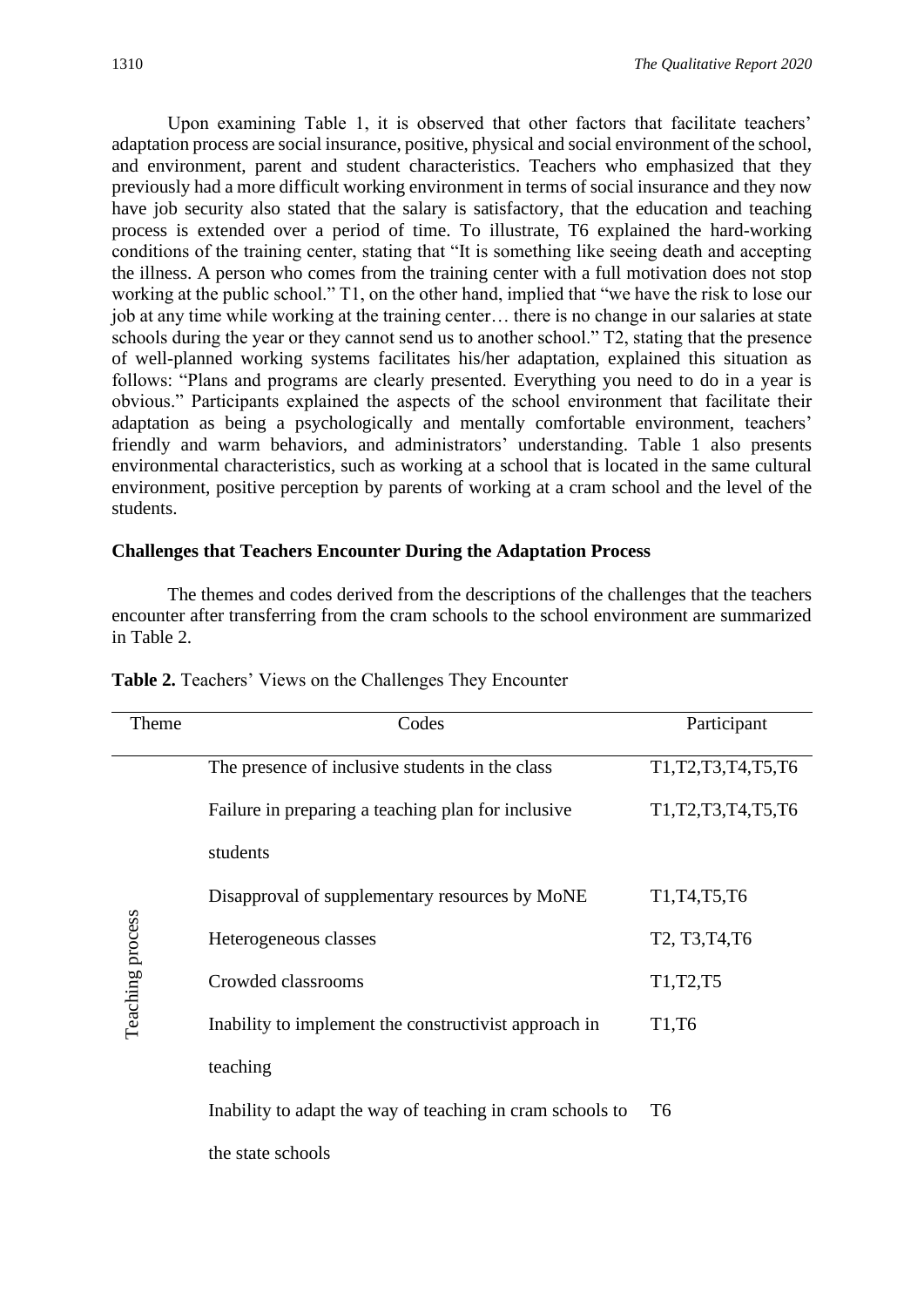Upon examining Table 1, it is observed that other factors that facilitate teachers' adaptation process are social insurance, positive, physical and social environment of the school, and environment, parent and student characteristics. Teachers who emphasized that they previously had a more difficult working environment in terms of social insurance and they now have job security also stated that the salary is satisfactory, that the education and teaching process is extended over a period of time. To illustrate, T6 explained the hard-working conditions of the training center, stating that "It is something like seeing death and accepting the illness. A person who comes from the training center with a full motivation does not stop working at the public school." T1, on the other hand, implied that "we have the risk to lose our job at any time while working at the training center… there is no change in our salaries at state schools during the year or they cannot send us to another school." T2, stating that the presence of well-planned working systems facilitates his/her adaptation, explained this situation as follows: "Plans and programs are clearly presented. Everything you need to do in a year is obvious." Participants explained the aspects of the school environment that facilitate their adaptation as being a psychologically and mentally comfortable environment, teachers' friendly and warm behaviors, and administrators' understanding. Table 1 also presents environmental characteristics, such as working at a school that is located in the same cultural environment, positive perception by parents of working at a cram school and the level of the students.

#### **Challenges that Teachers Encounter During the Adaptation Process**

The themes and codes derived from the descriptions of the challenges that the teachers encounter after transferring from the cram schools to the school environment are summarized in Table 2.

| Theme            | Codes                                                     | Participant                                                                                         |
|------------------|-----------------------------------------------------------|-----------------------------------------------------------------------------------------------------|
|                  | The presence of inclusive students in the class           | T <sub>1</sub> , T <sub>2</sub> , T <sub>3</sub> , T <sub>4</sub> , T <sub>5</sub> , T <sub>6</sub> |
|                  | Failure in preparing a teaching plan for inclusive        | T <sub>1</sub> , T <sub>2</sub> , T <sub>3</sub> , T <sub>4</sub> , T <sub>5</sub> , T <sub>6</sub> |
|                  | students                                                  |                                                                                                     |
|                  | Disapproval of supplementary resources by MoNE            | T1, T4, T5, T6                                                                                      |
| Teaching process | Heterogeneous classes                                     | T <sub>2</sub> , T <sub>3</sub> , T <sub>4</sub> , T <sub>6</sub>                                   |
|                  | Crowded classrooms                                        | T <sub>1</sub> , T <sub>2</sub> , T <sub>5</sub>                                                    |
|                  | Inability to implement the constructivist approach in     | T <sub>1</sub> ,T <sub>6</sub>                                                                      |
|                  | teaching                                                  |                                                                                                     |
|                  | Inability to adapt the way of teaching in cram schools to | T <sub>6</sub>                                                                                      |
|                  | the state schools                                         |                                                                                                     |

**Table 2.** Teachers' Views on the Challenges They Encounter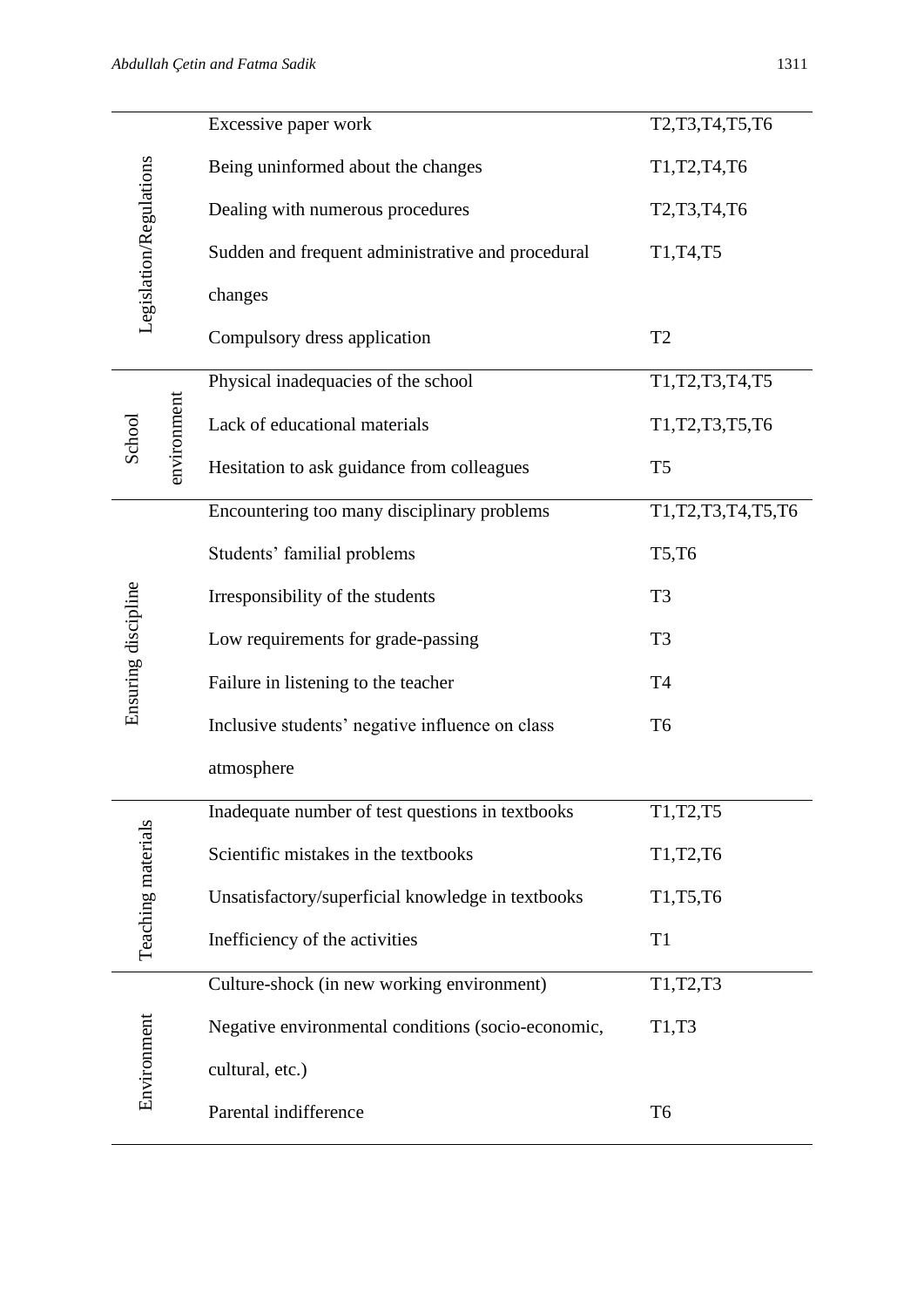|                         | Excessive paper work                               | T2, T3, T4, T5, T6     |
|-------------------------|----------------------------------------------------|------------------------|
|                         | Being uninformed about the changes                 | T1, T2, T4, T6         |
|                         | Dealing with numerous procedures                   | T2, T3, T4, T6         |
| Legislation/Regulations | Sudden and frequent administrative and procedural  | T1, T4, T5             |
|                         | changes                                            |                        |
|                         | Compulsory dress application                       | T <sub>2</sub>         |
|                         | Physical inadequacies of the school                | T1, T2, T3, T4, T5     |
| environment<br>School   | Lack of educational materials                      | T1, T2, T3, T5, T6     |
|                         | Hesitation to ask guidance from colleagues         | T <sub>5</sub>         |
|                         | Encountering too many disciplinary problems        | T1, T2, T3, T4, T5, T6 |
|                         | Students' familial problems                        | T5,T6                  |
|                         | Irresponsibility of the students                   | T <sub>3</sub>         |
| Ensuring discipline     | Low requirements for grade-passing                 | T <sub>3</sub>         |
|                         | Failure in listening to the teacher                | T <sub>4</sub>         |
|                         | Inclusive students' negative influence on class    | T <sub>6</sub>         |
|                         | atmosphere                                         |                        |
|                         | Inadequate number of test questions in textbooks   | T1, T2, T5             |
| Teaching materials      | Scientific mistakes in the textbooks               | T1, T2, T6             |
|                         | Unsatisfactory/superficial knowledge in textbooks  | T1,T5,T6               |
|                         | Inefficiency of the activities                     | T <sub>1</sub>         |
|                         | Culture-shock (in new working environment)         | T1, T2, T3             |
|                         | Negative environmental conditions (socio-economic, | T1,T3                  |
| Environment             | cultural, etc.)                                    |                        |
|                         | Parental indifference                              | T <sub>6</sub>         |
|                         |                                                    |                        |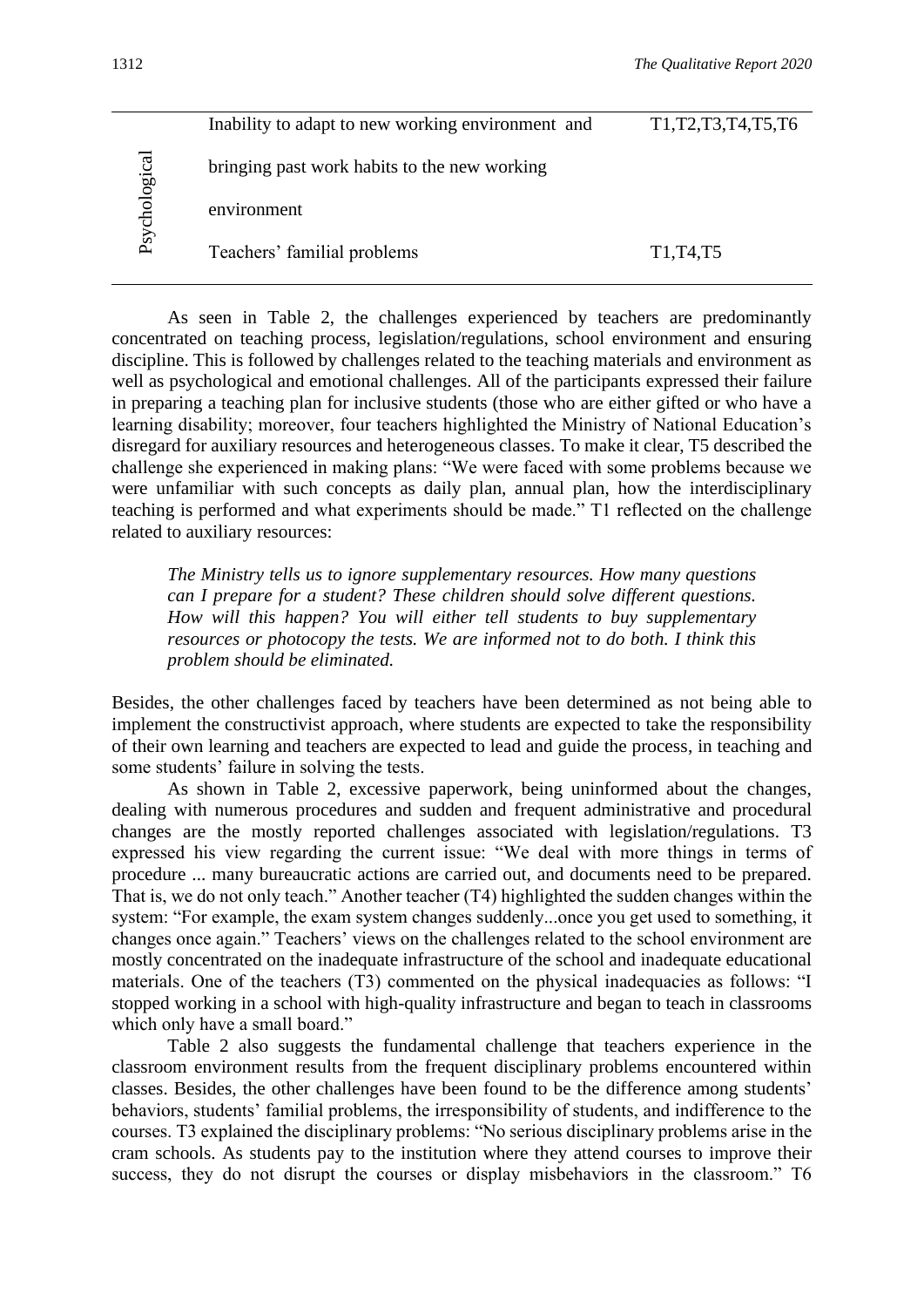| Psychological | Inability to adapt to new working environment and | T <sub>1</sub> , T <sub>2</sub> , T <sub>3</sub> , T <sub>4</sub> , T <sub>5</sub> , T <sub>6</sub> |
|---------------|---------------------------------------------------|-----------------------------------------------------------------------------------------------------|
|               | bringing past work habits to the new working      |                                                                                                     |
|               | environment                                       |                                                                                                     |
|               | Teachers' familial problems                       | T <sub>1</sub> , T <sub>4</sub> , T <sub>5</sub>                                                    |

As seen in Table 2, the challenges experienced by teachers are predominantly concentrated on teaching process, legislation/regulations, school environment and ensuring discipline. This is followed by challenges related to the teaching materials and environment as well as psychological and emotional challenges. All of the participants expressed their failure in preparing a teaching plan for inclusive students (those who are either gifted or who have a learning disability; moreover, four teachers highlighted the Ministry of National Education's disregard for auxiliary resources and heterogeneous classes. To make it clear, T5 described the challenge she experienced in making plans: "We were faced with some problems because we were unfamiliar with such concepts as daily plan, annual plan, how the interdisciplinary teaching is performed and what experiments should be made." T1 reflected on the challenge related to auxiliary resources:

*The Ministry tells us to ignore supplementary resources. How many questions can I prepare for a student? These children should solve different questions. How will this happen? You will either tell students to buy supplementary resources or photocopy the tests. We are informed not to do both. I think this problem should be eliminated.*

Besides, the other challenges faced by teachers have been determined as not being able to implement the constructivist approach, where students are expected to take the responsibility of their own learning and teachers are expected to lead and guide the process, in teaching and some students' failure in solving the tests.

As shown in Table 2, excessive paperwork, being uninformed about the changes, dealing with numerous procedures and sudden and frequent administrative and procedural changes are the mostly reported challenges associated with legislation/regulations. T3 expressed his view regarding the current issue: "We deal with more things in terms of procedure ... many bureaucratic actions are carried out, and documents need to be prepared. That is, we do not only teach." Another teacher (T4) highlighted the sudden changes within the system: "For example, the exam system changes suddenly...once you get used to something, it changes once again." Teachers' views on the challenges related to the school environment are mostly concentrated on the inadequate infrastructure of the school and inadequate educational materials. One of the teachers (T3) commented on the physical inadequacies as follows: "I stopped working in a school with high-quality infrastructure and began to teach in classrooms which only have a small board."

Table 2 also suggests the fundamental challenge that teachers experience in the classroom environment results from the frequent disciplinary problems encountered within classes. Besides, the other challenges have been found to be the difference among students' behaviors, students' familial problems, the irresponsibility of students, and indifference to the courses. T3 explained the disciplinary problems: "No serious disciplinary problems arise in the cram schools. As students pay to the institution where they attend courses to improve their success, they do not disrupt the courses or display misbehaviors in the classroom." T6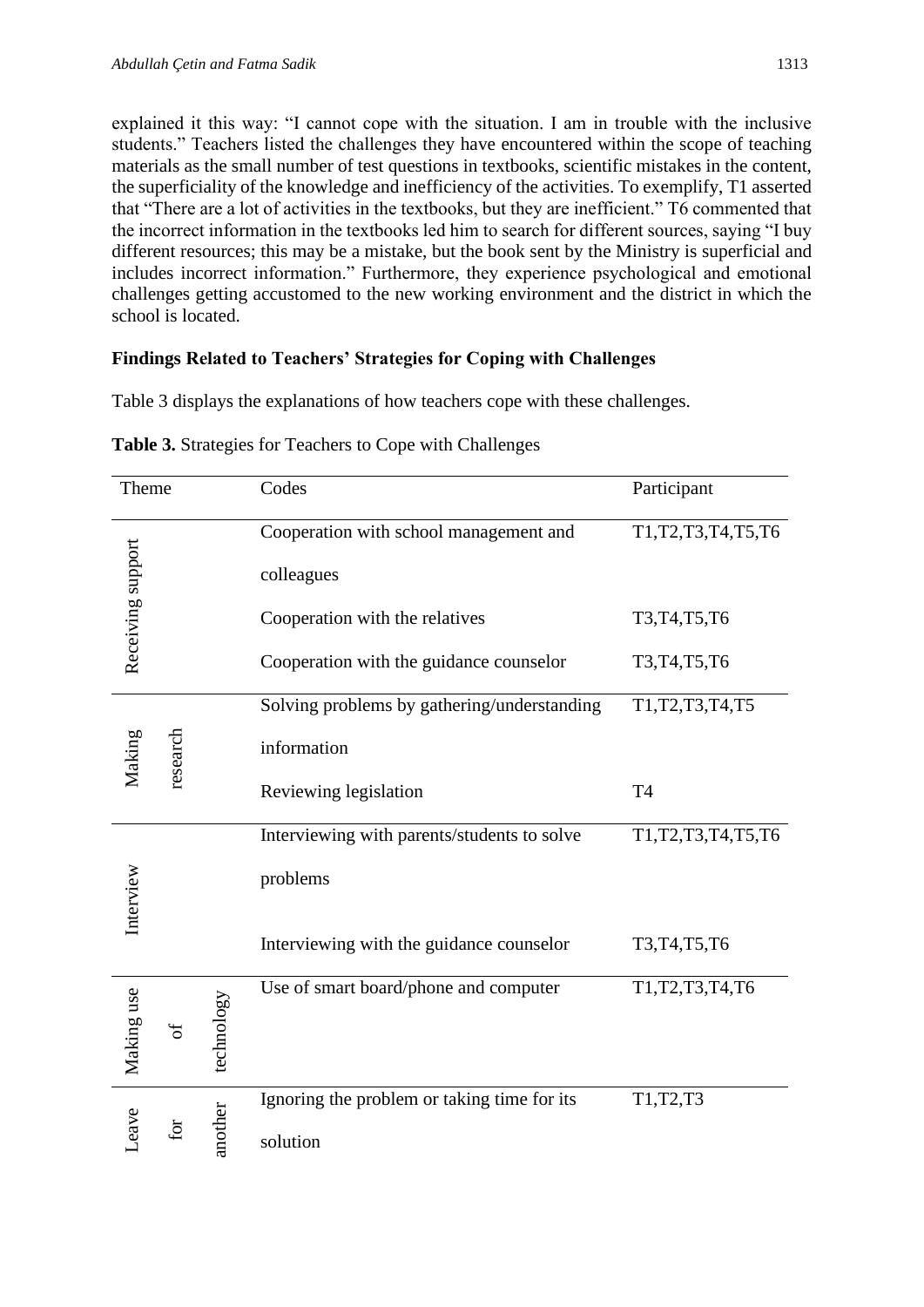explained it this way: "I cannot cope with the situation. I am in trouble with the inclusive students." Teachers listed the challenges they have encountered within the scope of teaching materials as the small number of test questions in textbooks, scientific mistakes in the content, the superficiality of the knowledge and inefficiency of the activities. To exemplify, T1 asserted that "There are a lot of activities in the textbooks, but they are inefficient." T6 commented that the incorrect information in the textbooks led him to search for different sources, saying "I buy different resources; this may be a mistake, but the book sent by the Ministry is superficial and includes incorrect information." Furthermore, they experience psychological and emotional challenges getting accustomed to the new working environment and the district in which the school is located.

#### **Findings Related to Teachers' Strategies for Coping with Challenges**

Table 3 displays the explanations of how teachers cope with these challenges.

| Theme             |          |            | Codes                                       | Participant            |
|-------------------|----------|------------|---------------------------------------------|------------------------|
|                   |          |            | Cooperation with school management and      | T1, T2, T3, T4, T5, T6 |
| Receiving support |          |            | colleagues                                  |                        |
|                   |          |            | Cooperation with the relatives              | T3, T4, T5, T6         |
|                   |          |            | Cooperation with the guidance counselor     | T3, T4, T5, T6         |
|                   |          |            | Solving problems by gathering/understanding | T1, T2, T3, T4, T5     |
| Making            | research |            | information                                 |                        |
|                   |          |            | Reviewing legislation                       | T <sub>4</sub>         |
|                   |          |            | Interviewing with parents/students to solve | T1, T2, T3, T4, T5, T6 |
| Interview         |          |            | problems                                    |                        |
|                   |          |            | Interviewing with the guidance counselor    | T3, T4, T5, T6         |
| Making use        | ð        |            | Use of smart board/phone and computer       | T1, T2, T3, T4, T6     |
|                   |          | technology |                                             |                        |
|                   |          |            | Ignoring the problem or taking time for its | T1,T2,T3               |
| Leave             |          | another    | solution                                    |                        |

**Table 3.** Strategies for Teachers to Cope with Challenges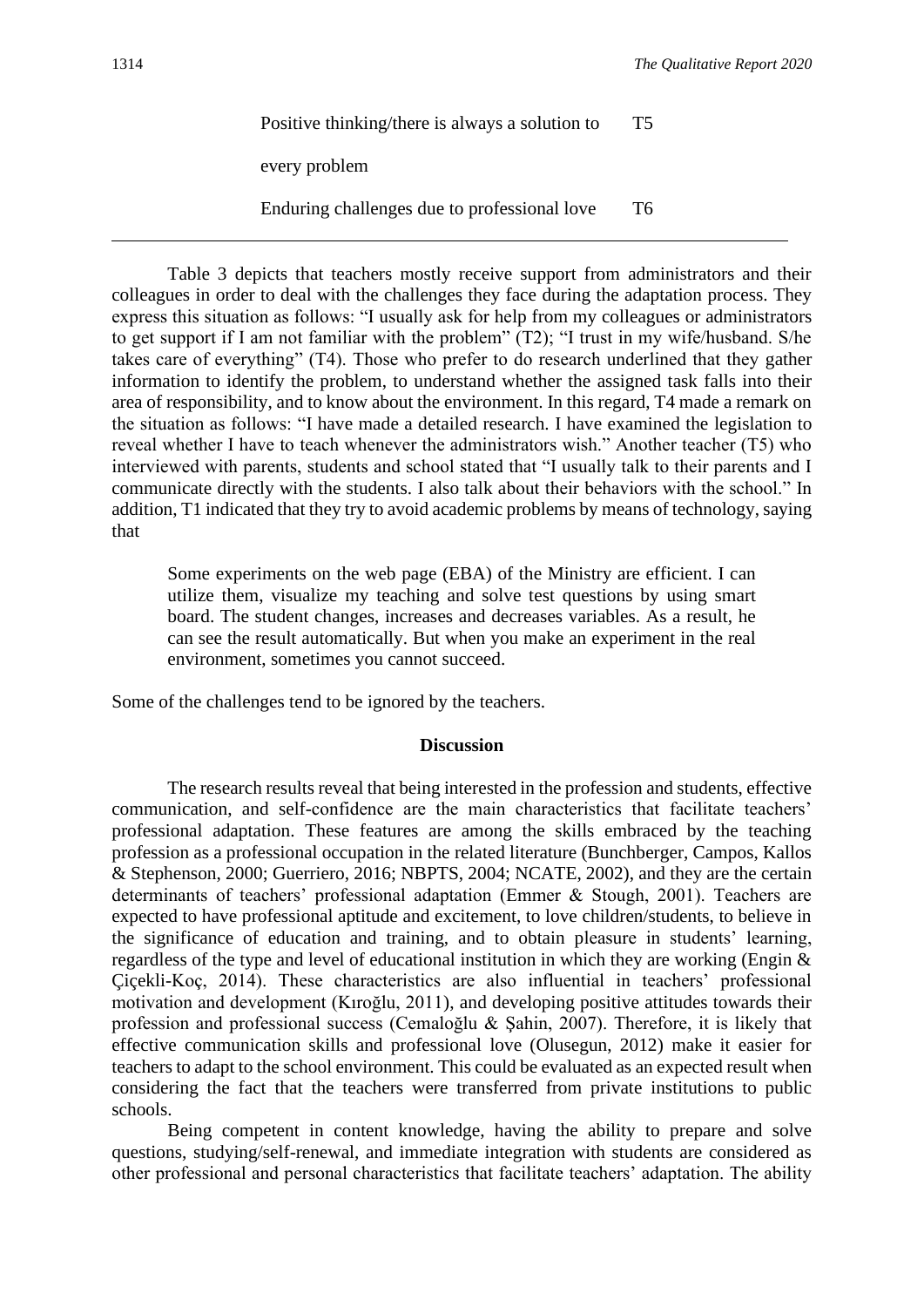| Positive thinking/there is always a solution to | T5 |
|-------------------------------------------------|----|
| every problem                                   |    |
| Enduring challenges due to professional love    | Т6 |

Table 3 depicts that teachers mostly receive support from administrators and their colleagues in order to deal with the challenges they face during the adaptation process. They express this situation as follows: "I usually ask for help from my colleagues or administrators to get support if I am not familiar with the problem" (T2); "I trust in my wife/husband. S/he takes care of everything" (T4). Those who prefer to do research underlined that they gather information to identify the problem, to understand whether the assigned task falls into their area of responsibility, and to know about the environment. In this regard, T4 made a remark on the situation as follows: "I have made a detailed research. I have examined the legislation to reveal whether I have to teach whenever the administrators wish." Another teacher (T5) who interviewed with parents, students and school stated that "I usually talk to their parents and I communicate directly with the students. I also talk about their behaviors with the school." In addition, T1 indicated that they try to avoid academic problems by means of technology, saying that

Some experiments on the web page (EBA) of the Ministry are efficient. I can utilize them, visualize my teaching and solve test questions by using smart board. The student changes, increases and decreases variables. As a result, he can see the result automatically. But when you make an experiment in the real environment, sometimes you cannot succeed.

Some of the challenges tend to be ignored by the teachers.

#### **Discussion**

The research results reveal that being interested in the profession and students, effective communication, and self-confidence are the main characteristics that facilitate teachers' professional adaptation. These features are among the skills embraced by the teaching profession as a professional occupation in the related literature (Bunchberger, Campos, Kallos & Stephenson, 2000; Guerriero, 2016; NBPTS, 2004; NCATE, 2002), and they are the certain determinants of teachers' professional adaptation (Emmer & Stough, 2001). Teachers are expected to have professional aptitude and excitement, to love children/students, to believe in the significance of education and training, and to obtain pleasure in students' learning, regardless of the type and level of educational institution in which they are working (Engin & Çiçekli-Koç, 2014). These characteristics are also influential in teachers' professional motivation and development (Kıroğlu, 2011), and developing positive attitudes towards their profession and professional success (Cemaloğlu & Şahin, 2007). Therefore, it is likely that effective communication skills and professional love (Olusegun, 2012) make it easier for teachers to adapt to the school environment. This could be evaluated as an expected result when considering the fact that the teachers were transferred from private institutions to public schools.

Being competent in content knowledge, having the ability to prepare and solve questions, studying/self-renewal, and immediate integration with students are considered as other professional and personal characteristics that facilitate teachers' adaptation. The ability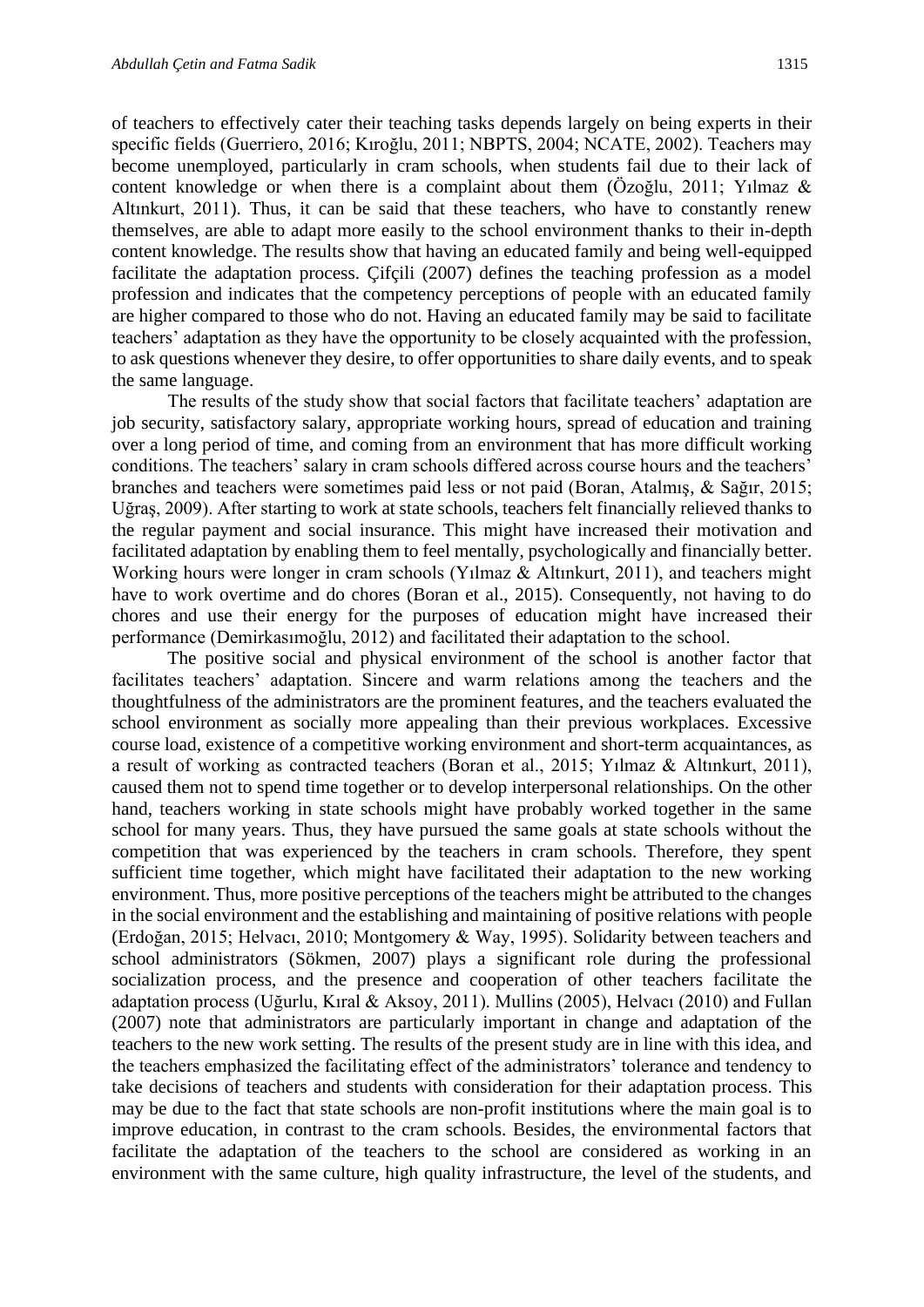of teachers to effectively cater their teaching tasks depends largely on being experts in their specific fields (Guerriero, 2016; Kıroğlu, 2011; NBPTS, 2004; NCATE, 2002). Teachers may become unemployed, particularly in cram schools, when students fail due to their lack of content knowledge or when there is a complaint about them (Özoğlu, 2011; Yılmaz & Altınkurt, 2011). Thus, it can be said that these teachers, who have to constantly renew themselves, are able to adapt more easily to the school environment thanks to their in-depth content knowledge. The results show that having an educated family and being well-equipped facilitate the adaptation process. Çifçili (2007) defines the teaching profession as a model profession and indicates that the competency perceptions of people with an educated family are higher compared to those who do not. Having an educated family may be said to facilitate teachers' adaptation as they have the opportunity to be closely acquainted with the profession, to ask questions whenever they desire, to offer opportunities to share daily events, and to speak the same language.

The results of the study show that social factors that facilitate teachers' adaptation are job security, satisfactory salary, appropriate working hours, spread of education and training over a long period of time, and coming from an environment that has more difficult working conditions. The teachers' salary in cram schools differed across course hours and the teachers' branches and teachers were sometimes paid less or not paid (Boran, Atalmış, & Sağır, 2015; Uğraş, 2009). After starting to work at state schools, teachers felt financially relieved thanks to the regular payment and social insurance. This might have increased their motivation and facilitated adaptation by enabling them to feel mentally, psychologically and financially better. Working hours were longer in cram schools (Yılmaz & Altınkurt, 2011), and teachers might have to work overtime and do chores (Boran et al., 2015). Consequently, not having to do chores and use their energy for the purposes of education might have increased their performance (Demirkasımoğlu, 2012) and facilitated their adaptation to the school.

The positive social and physical environment of the school is another factor that facilitates teachers' adaptation. Sincere and warm relations among the teachers and the thoughtfulness of the administrators are the prominent features, and the teachers evaluated the school environment as socially more appealing than their previous workplaces. Excessive course load, existence of a competitive working environment and short-term acquaintances, as a result of working as contracted teachers (Boran et al., 2015; Yılmaz & Altınkurt, 2011), caused them not to spend time together or to develop interpersonal relationships. On the other hand, teachers working in state schools might have probably worked together in the same school for many years. Thus, they have pursued the same goals at state schools without the competition that was experienced by the teachers in cram schools. Therefore, they spent sufficient time together, which might have facilitated their adaptation to the new working environment. Thus, more positive perceptions of the teachers might be attributed to the changes in the social environment and the establishing and maintaining of positive relations with people (Erdoğan, 2015; Helvacı, 2010; Montgomery & Way, 1995). Solidarity between teachers and school administrators (Sökmen, 2007) plays a significant role during the professional socialization process, and the presence and cooperation of other teachers facilitate the adaptation process (Uğurlu, Kıral & Aksoy, 2011). Mullins (2005), Helvacı (2010) and Fullan (2007) note that administrators are particularly important in change and adaptation of the teachers to the new work setting. The results of the present study are in line with this idea, and the teachers emphasized the facilitating effect of the administrators' tolerance and tendency to take decisions of teachers and students with consideration for their adaptation process. This may be due to the fact that state schools are non-profit institutions where the main goal is to improve education, in contrast to the cram schools. Besides, the environmental factors that facilitate the adaptation of the teachers to the school are considered as working in an environment with the same culture, high quality infrastructure, the level of the students, and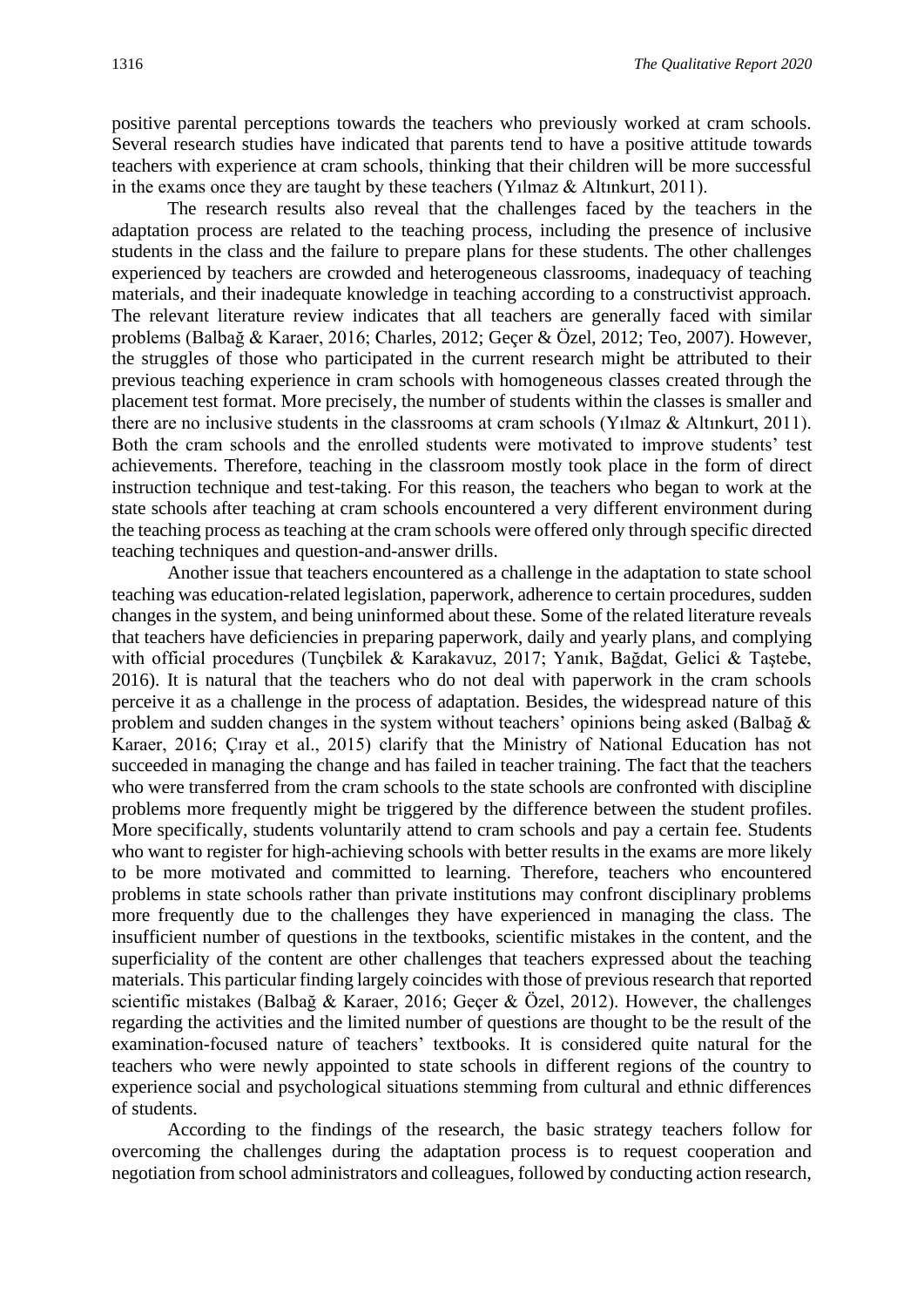positive parental perceptions towards the teachers who previously worked at cram schools. Several research studies have indicated that parents tend to have a positive attitude towards teachers with experience at cram schools, thinking that their children will be more successful in the exams once they are taught by these teachers (Yılmaz & Altınkurt, 2011).

The research results also reveal that the challenges faced by the teachers in the adaptation process are related to the teaching process, including the presence of inclusive students in the class and the failure to prepare plans for these students. The other challenges experienced by teachers are crowded and heterogeneous classrooms, inadequacy of teaching materials, and their inadequate knowledge in teaching according to a constructivist approach. The relevant literature review indicates that all teachers are generally faced with similar problems (Balbağ & Karaer, 2016; Charles, 2012; Geçer & Özel, 2012; Teo, 2007). However, the struggles of those who participated in the current research might be attributed to their previous teaching experience in cram schools with homogeneous classes created through the placement test format. More precisely, the number of students within the classes is smaller and there are no inclusive students in the classrooms at cram schools (Yılmaz & Altınkurt, 2011). Both the cram schools and the enrolled students were motivated to improve students' test achievements. Therefore, teaching in the classroom mostly took place in the form of direct instruction technique and test-taking. For this reason, the teachers who began to work at the state schools after teaching at cram schools encountered a very different environment during the teaching process as teaching at the cram schools were offered only through specific directed teaching techniques and question-and-answer drills.

Another issue that teachers encountered as a challenge in the adaptation to state school teaching was education-related legislation, paperwork, adherence to certain procedures, sudden changes in the system, and being uninformed about these. Some of the related literature reveals that teachers have deficiencies in preparing paperwork, daily and yearly plans, and complying with official procedures (Tunçbilek & Karakavuz, 2017; Yanık, Bağdat, Gelici & Taştebe, 2016). It is natural that the teachers who do not deal with paperwork in the cram schools perceive it as a challenge in the process of adaptation. Besides, the widespread nature of this problem and sudden changes in the system without teachers' opinions being asked (Balbağ & Karaer, 2016; Çıray et al., 2015) clarify that the Ministry of National Education has not succeeded in managing the change and has failed in teacher training. The fact that the teachers who were transferred from the cram schools to the state schools are confronted with discipline problems more frequently might be triggered by the difference between the student profiles. More specifically, students voluntarily attend to cram schools and pay a certain fee. Students who want to register for high-achieving schools with better results in the exams are more likely to be more motivated and committed to learning. Therefore, teachers who encountered problems in state schools rather than private institutions may confront disciplinary problems more frequently due to the challenges they have experienced in managing the class. The insufficient number of questions in the textbooks, scientific mistakes in the content, and the superficiality of the content are other challenges that teachers expressed about the teaching materials. This particular finding largely coincides with those of previous research that reported scientific mistakes (Balbağ & Karaer, 2016; Geçer & Özel, 2012). However, the challenges regarding the activities and the limited number of questions are thought to be the result of the examination-focused nature of teachers' textbooks. It is considered quite natural for the teachers who were newly appointed to state schools in different regions of the country to experience social and psychological situations stemming from cultural and ethnic differences of students.

According to the findings of the research, the basic strategy teachers follow for overcoming the challenges during the adaptation process is to request cooperation and negotiation from school administrators and colleagues, followed by conducting action research,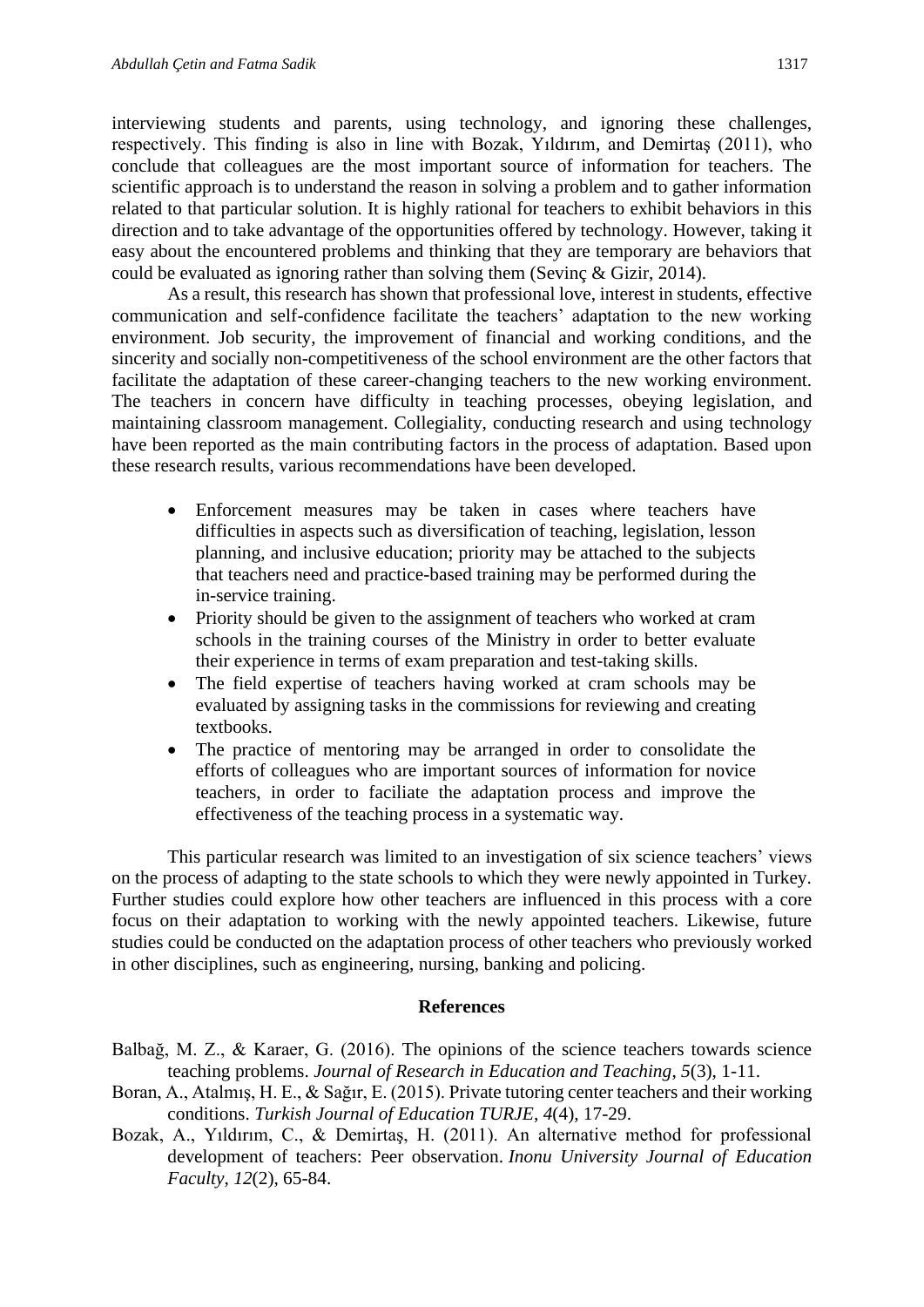interviewing students and parents, using technology, and ignoring these challenges, respectively. This finding is also in line with Bozak, Yıldırım, and Demirtaş (2011), who conclude that colleagues are the most important source of information for teachers. The scientific approach is to understand the reason in solving a problem and to gather information related to that particular solution. It is highly rational for teachers to exhibit behaviors in this direction and to take advantage of the opportunities offered by technology. However, taking it easy about the encountered problems and thinking that they are temporary are behaviors that could be evaluated as ignoring rather than solving them (Sevinç & Gizir, 2014).

As a result, this research has shown that professional love, interest in students, effective communication and self-confidence facilitate the teachers' adaptation to the new working environment. Job security, the improvement of financial and working conditions, and the sincerity and socially non-competitiveness of the school environment are the other factors that facilitate the adaptation of these career-changing teachers to the new working environment. The teachers in concern have difficulty in teaching processes, obeying legislation, and maintaining classroom management. Collegiality, conducting research and using technology have been reported as the main contributing factors in the process of adaptation. Based upon these research results, various recommendations have been developed.

- Enforcement measures may be taken in cases where teachers have difficulties in aspects such as diversification of teaching, legislation, lesson planning, and inclusive education; priority may be attached to the subjects that teachers need and practice-based training may be performed during the in-service training.
- Priority should be given to the assignment of teachers who worked at cram schools in the training courses of the Ministry in order to better evaluate their experience in terms of exam preparation and test-taking skills.
- The field expertise of teachers having worked at cram schools may be evaluated by assigning tasks in the commissions for reviewing and creating textbooks.
- The practice of mentoring may be arranged in order to consolidate the efforts of colleagues who are important sources of information for novice teachers, in order to faciliate the adaptation process and improve the effectiveness of the teaching process in a systematic way.

This particular research was limited to an investigation of six science teachers' views on the process of adapting to the state schools to which they were newly appointed in Turkey. Further studies could explore how other teachers are influenced in this process with a core focus on their adaptation to working with the newly appointed teachers. Likewise, future studies could be conducted on the adaptation process of other teachers who previously worked in other disciplines, such as engineering, nursing, banking and policing.

#### **References**

- Balbağ, M. Z., & Karaer, G. (2016). The opinions of the science teachers towards science teaching problems. *Journal of Research in Education and Teaching*, *5*(3), 1-11.
- Boran, A., Atalmış, H. E., & Sağır, E. (2015). Private tutoring center teachers and their working conditions. *Turkish Journal of Education TURJE*, *4*(4), 17-29.
- Bozak, A., Yıldırım, C., & Demirtaş, H. (2011). An alternative method for professional development of teachers: Peer observation. *Inonu University Journal of Education Faculty*, *12*(2), 65-84.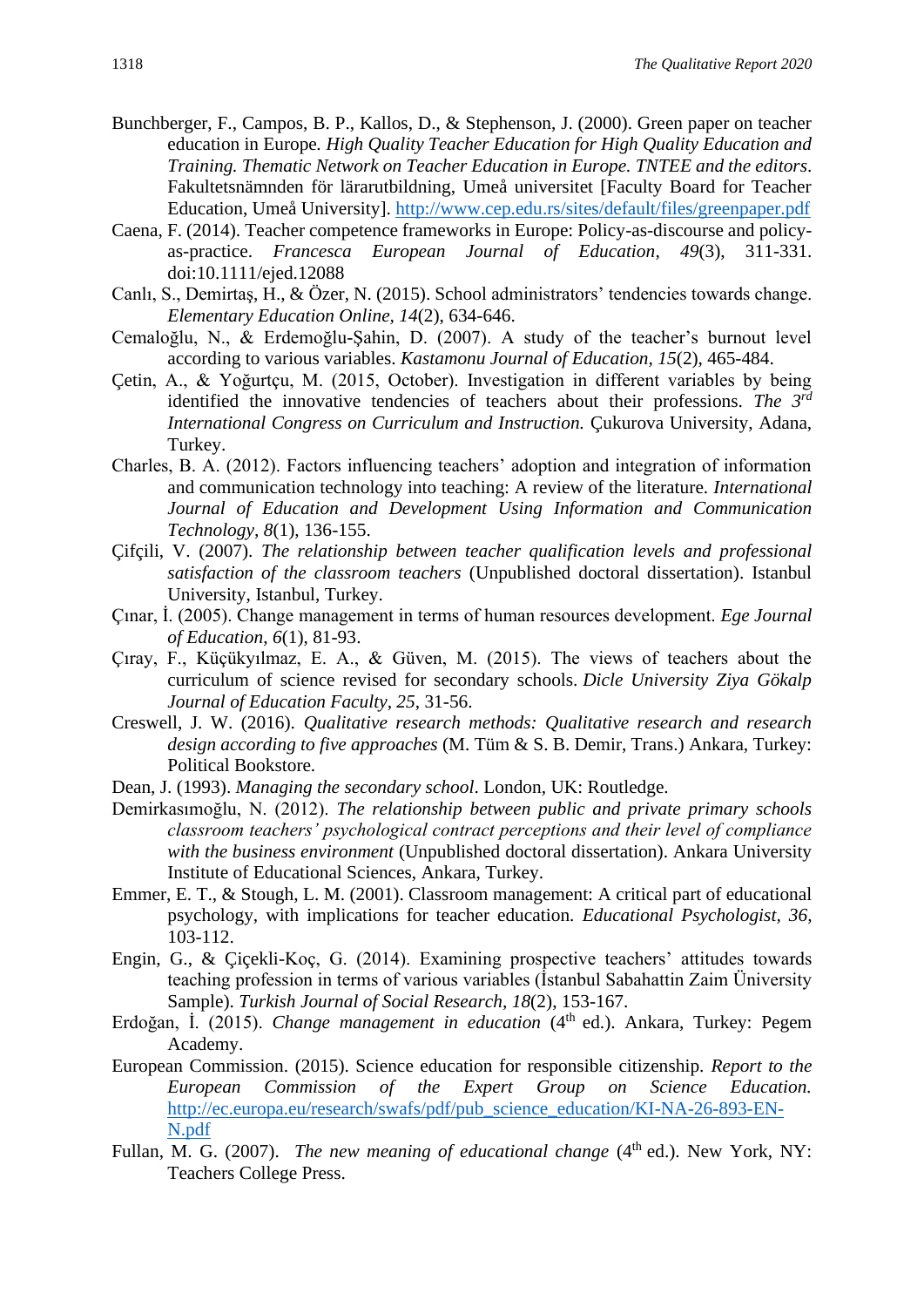- Bunchberger, F., Campos, B. P., Kallos, D., & Stephenson, J. (2000). Green paper on teacher education in Europe*. High Quality Teacher Education for High Quality Education and Training. Thematic Network on Teacher Education in Europe. TNTEE and the editors*. Fakultetsnämnden för lärarutbildning, Umeå universitet [Faculty Board for Teacher Education, Umeå University].<http://www.cep.edu.rs/sites/default/files/greenpaper.pdf>
- Caena, F. (2014). Teacher competence frameworks in Europe: Policy-as-discourse and policyas-practice. *Francesca European Journal of Education, 49*(3), 311-331. doi:10.1111/ejed.12088
- Canlı, S., Demirtaş, H., & Özer, N. (2015). School administrators' tendencies towards change. *Elementary Education Online, 14*(2), 634-646.
- Cemaloğlu, N., & Erdemoğlu-Şahin, D. (2007). A study of the teacher's burnout level according to various variables. *Kastamonu Journal of Education, 15*(2), 465-484.
- Çetin, A., & Yoğurtçu, M. (2015, October). Investigation in different variables by being identified the innovative tendencies of teachers about their professions. *The 3rd International Congress on Curriculum and Instruction.* Çukurova University, Adana, Turkey.
- Charles, B. A. (2012). Factors influencing teachers' adoption and integration of information and communication technology into teaching: A review of the literature. *International Journal of Education and Development Using Information and Communication Technology, 8*(1), 136-155.
- Çifçili, V. (2007). *The relationship between teacher qualification levels and professional satisfaction of the classroom teachers* (Unpublished doctoral dissertation). Istanbul University, Istanbul, Turkey.
- Çınar, İ. (2005). Change management in terms of human resources development. *Ege Journal of Education*, *6*(1), 81-93.
- Çıray, F., Küçükyılmaz, E. A., & Güven, M. (2015). The views of teachers about the curriculum of science revised for secondary schools. *Dicle University Ziya Gökalp Journal of Education Faculty*, *25*, 31-56.
- Creswell, J. W. (2016). *Qualitative research methods: Qualitative research and research design according to five approaches* (M. Tüm & S. B. Demir, Trans.) Ankara, Turkey: Political Bookstore.
- Dean, J. (1993). *Managing the secondary school*. London, UK: Routledge.
- Demirkasımoğlu, N. (2012). *The relationship between public and private primary schools classroom teachers' psychological contract perceptions and their level of compliance with the business environment* (Unpublished doctoral dissertation). Ankara University Institute of Educational Sciences, Ankara, Turkey.
- Emmer, E. T., & Stough, L. M. (2001). Classroom management: A critical part of educational psychology, with implications for teacher education*. Educational Psychologist, 36,*  103-112.
- Engin, G., & Çiçekli-Koç, G. (2014). Examining prospective teachers' attitudes towards teaching profession in terms of various variables (İstanbul Sabahattin Zaim Üniversity Sample). *Turkish Journal of Social Research, 18*(2), 153-167.
- Erdoğan, İ. (2015). *Change management in education* (4th ed.). Ankara, Turkey: Pegem Academy.
- European Commission. (2015). Science education for responsible citizenship. *Report to the European Commission of the Expert Group on Science Education.* [http://ec.europa.eu/research/swafs/pdf/pub\\_science\\_education/KI-NA-26-893-EN-](http://ec.europa.eu/research/swafs/pdf/pub_science_education/KI-NA-26-893-EN-N.pdf)[N.pdf](http://ec.europa.eu/research/swafs/pdf/pub_science_education/KI-NA-26-893-EN-N.pdf)
- Fullan, M. G. (2007). *The new meaning of educational change* (4<sup>th</sup> ed.). New York, NY: Teachers College Press.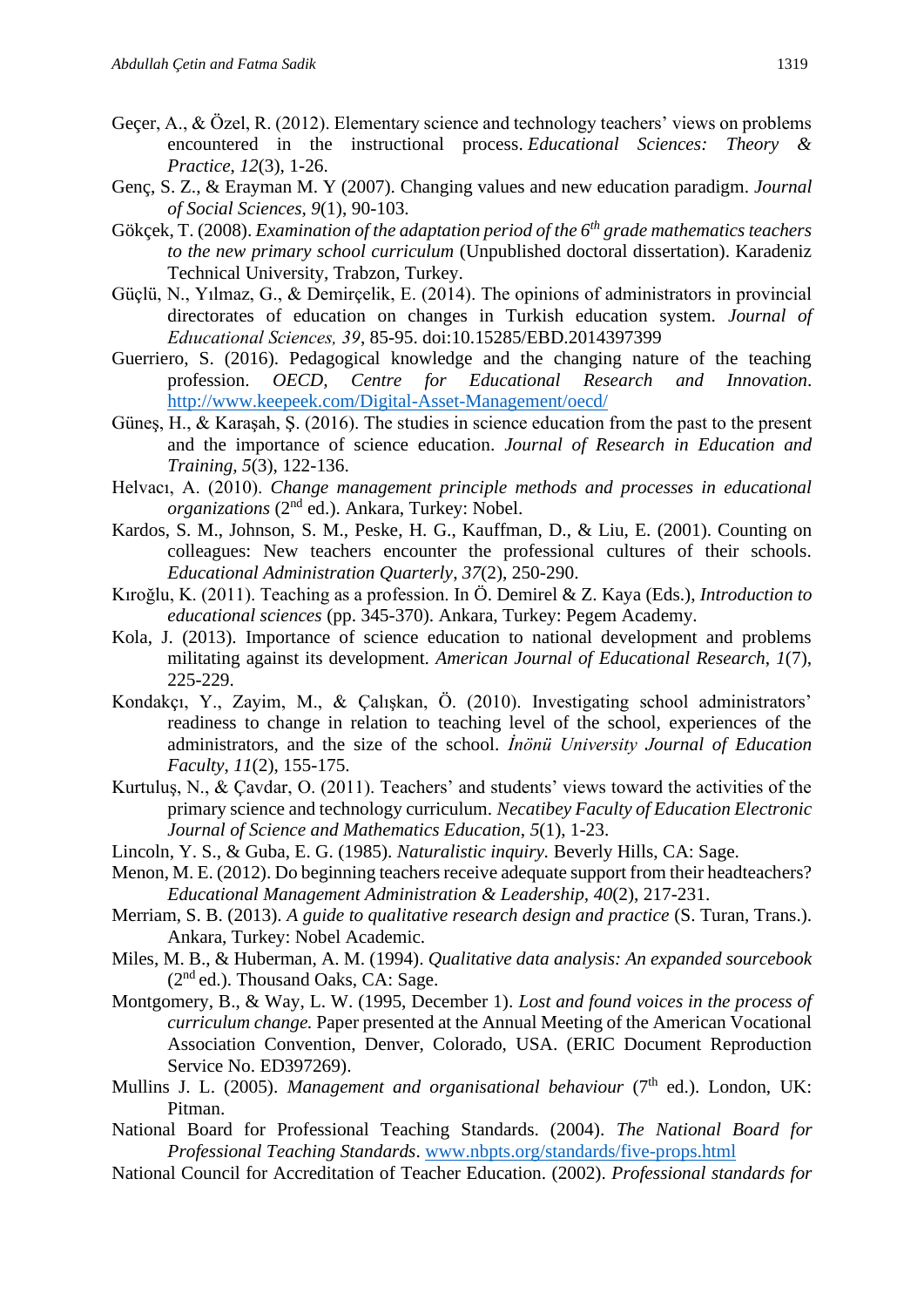- Geçer, A., & Özel, R. (2012). Elementary science and technology teachers' views on problems encountered in the instructional process. *Educational Sciences: Theory & Practice*, *12*(3), 1-26.
- Genç, S. Z., & Erayman M. Y (2007). Changing values and new education paradigm. *Journal of Social Sciences, 9*(1), 90-103.
- Gökçek, T. (2008). *Examination of the adaptation period of the 6th grade mathematics teachers to the new primary school curriculum* (Unpublished doctoral dissertation). Karadeniz Technical University, Trabzon, Turkey.
- Güçlü, N., Yılmaz, G., & Demirçelik, E. (2014). The opinions of administrators in provincial directorates of education on changes in Turkish education system. *Journal of Edıucational Sciences, 39*, 85-95. doi:10.15285/EBD.2014397399
- Guerriero, S. (2016). Pedagogical knowledge and the changing nature of the teaching profession. *OECD, Centre for Educational Research and Innovation*. <http://www.keepeek.com/Digital-Asset-Management/oecd/>
- Güneş, H., & Karaşah, Ş. (2016). The studies in science education from the past to the present and the importance of science education. *Journal of Research in Education and Training, 5*(3), 122-136.
- Helvacı, A. (2010). *Change management principle methods and processes in educational organizations* (2<sup>nd</sup> ed.). Ankara, Turkey: Nobel.
- Kardos, S. M., Johnson, S. M., Peske, H. G., Kauffman, D., & Liu, E. (2001). Counting on colleagues: New teachers encounter the professional cultures of their schools. *Educational Administration Quarterly*, *37*(2), 250-290.
- Kıroğlu, K. (2011). Teaching as a profession. In Ö. Demirel & Z. Kaya (Eds.), *Introduction to educational sciences* (pp. 345-370). Ankara, Turkey: Pegem Academy.
- Kola, J. (2013). Importance of science education to national development and problems militating against its development. *American Journal of Educational Research*, *1*(7), 225-229.
- Kondakçı, Y., Zayim, M., & Çalışkan, Ö. (2010). Investigating school administrators' readiness to change in relation to teaching level of the school, experiences of the administrators, and the size of the school. *İnönü University Journal of Education Faculty*, *11*(2), 155-175.
- Kurtuluş, N., & Çavdar, O. (2011). Teachers' and students' views toward the activities of the primary science and technology curriculum. *Necatibey Faculty of Education Electronic Journal of Science and Mathematics Education*, *5*(1), 1-23.
- Lincoln, Y. S., & Guba, E. G. (1985). *Naturalistic inquiry.* Beverly Hills, CA: Sage.
- Menon, M. E. (2012). Do beginning teachers receive adequate support from their headteachers? *Educational Management Administration & Leadership, 40*(2), 217-231.
- Merriam, S. B. (2013). *A guide to qualitative research design and practice* (S. Turan, Trans.). Ankara, Turkey: Nobel Academic.
- Miles, M. B., & Huberman, A. M. (1994). *Qualitative data analysis: An expanded sourcebook*   $(2<sup>nd</sup>$ ed.). Thousand Oaks, CA: Sage.
- Montgomery, B., & Way, L. W. (1995, December 1). *Lost and found voices in the process of curriculum change.* Paper presented at the Annual Meeting of the American Vocational Association Convention, Denver, Colorado, USA. (ERIC Document Reproduction Service No. ED397269).
- Mullins J. L. (2005). *Management and organisational behaviour* (7<sup>th</sup> ed.). London, UK: Pitman.
- National Board for Professional Teaching Standards. (2004). *The National Board for Professional Teaching Standards*. [www.nbpts.org/standards/five-props.html](http://www.nbpts.org/standards/five-props.html)
- National Council for Accreditation of Teacher Education. (2002). *Professional standards for*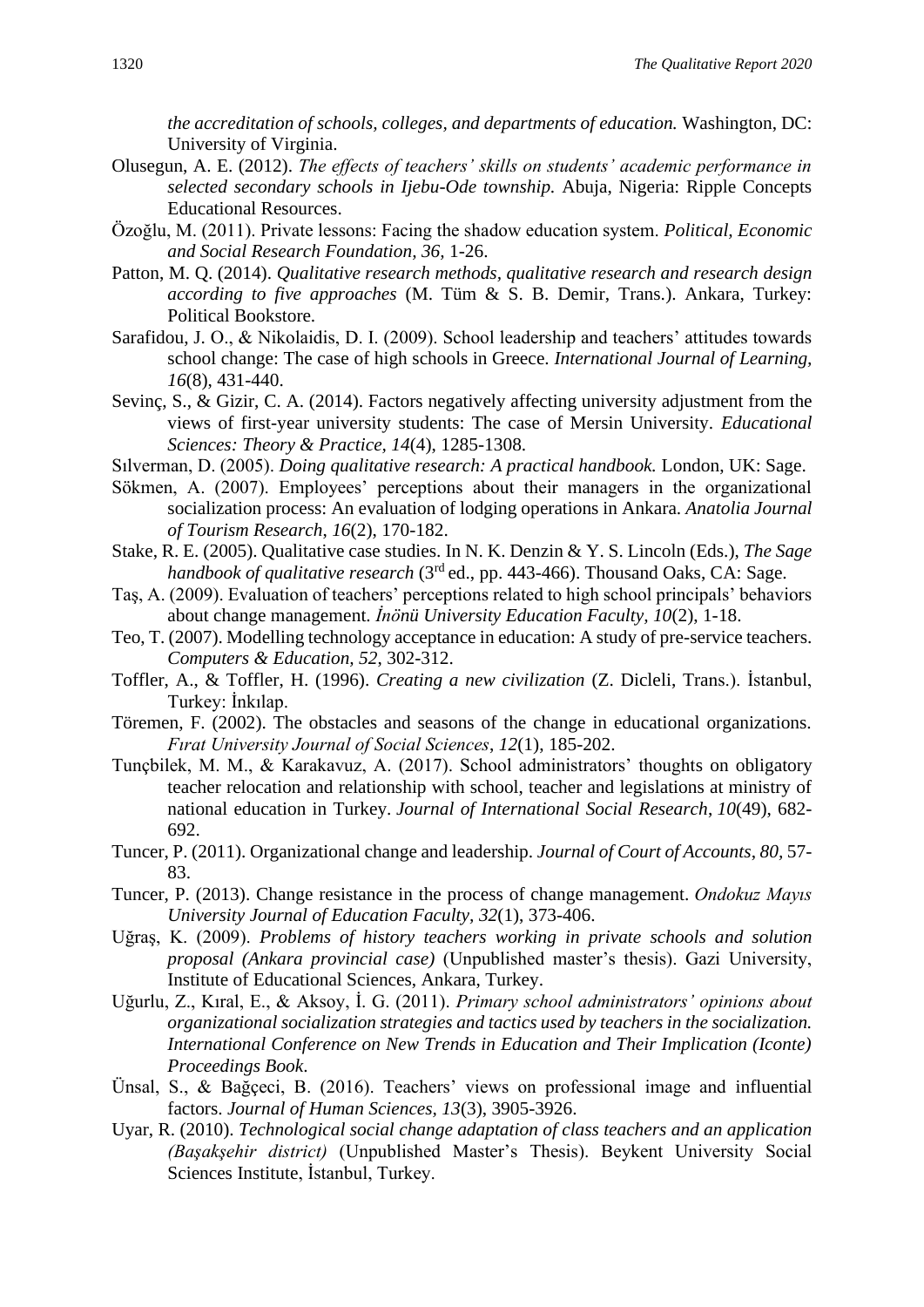*the accreditation of schools, colleges, and departments of education.* Washington, DC: University of Virginia.

- Olusegun, A. E. (2012). *The effects of teachers' skills on students' academic performance in selected secondary schools in Ijebu-Ode township.* Abuja, Nigeria: Ripple Concepts Educational Resources.
- Özoğlu, M. (2011). Private lessons: Facing the shadow education system. *Political, Economic and Social Research Foundation, 36,* 1-26.
- Patton, M. Q. (2014). *Qualitative research methods, qualitative research and research design according to five approaches* (M. Tüm & S. B. Demir, Trans.). Ankara, Turkey: Political Bookstore.
- Sarafidou, J. O., & Nikolaidis, D. I. (2009). School leadership and teachers' attitudes towards school change: The case of high schools in Greece. *International Journal of Learning, 16*(8), 431-440.
- Sevinç, S., & Gizir, C. A. (2014). Factors negatively affecting university adjustment from the views of first-year university students: The case of Mersin University. *Educational Sciences: Theory & Practice, 14*(4), 1285-1308.
- Sılverman, D. (2005). *Doing qualitative research: A practical handbook.* London, UK: Sage.
- Sökmen, A. (2007). Employees' perceptions about their managers in the organizational socialization process: An evaluation of lodging operations in Ankara. *Anatolia Journal of Tourism Research*, *16*(2), 170-182.
- Stake, R. E. (2005). Qualitative case studies. In N. K. Denzin & Y. S. Lincoln (Eds.), *The Sage handbook of qualitative research* (3<sup>rd</sup> ed., pp. 443-466). Thousand Oaks, CA: Sage.
- Taş, A. (2009). Evaluation of teachers' perceptions related to high school principals' behaviors about change management. *İnönü University Education Faculty, 10*(2), 1-18.
- Teo, T. (2007). Modelling technology acceptance in education: A study of pre-service teachers. *Computers & Education, 52*, 302-312.
- Toffler, A., & Toffler, H. (1996). *Creating a new civilization* (Z. Dicleli, Trans.). İstanbul, Turkey: İnkılap.
- Töremen, F. (2002). The obstacles and seasons of the change in educational organizations. *Fırat University Journal of Social Sciences*, *12*(1), 185-202.
- Tunçbilek, M. M., & Karakavuz, A. (2017). School administrators' thoughts on obligatory teacher relocation and relationship with school, teacher and legislations at ministry of national education in Turkey. *Journal of International Social Research*, *10*(49), 682- 692.
- Tuncer, P. (2011). Organizational change and leadership. *Journal of Court of Accounts*, *80,* 57- 83.
- Tuncer, P. (2013). Change resistance in the process of change management. *Ondokuz Mayıs University Journal of Education Faculty, 32*(1), 373-406.
- Uğraş, K. (2009). *Problems of history teachers working in private schools and solution proposal (Ankara provincial case)* (Unpublished master's thesis). Gazi University, Institute of Educational Sciences, Ankara, Turkey.
- Uğurlu, Z., Kıral, E., & Aksoy, İ. G. (2011). *Primary school administrators' opinions about organizational socialization strategies and tactics used by teachers in the socialization. International Conference on New Trends in Education and Their Implication (Iconte) Proceedings Book*.
- Ünsal, S., & Bağçeci, B. (2016). Teachers' views on professional image and influential factors. *Journal of Human Sciences, 13*(3), 3905-3926.
- Uyar, R. (2010). *Technological social change adaptation of class teachers and an application (Başakşehir district)* (Unpublished Master's Thesis). Beykent University Social Sciences Institute, İstanbul, Turkey.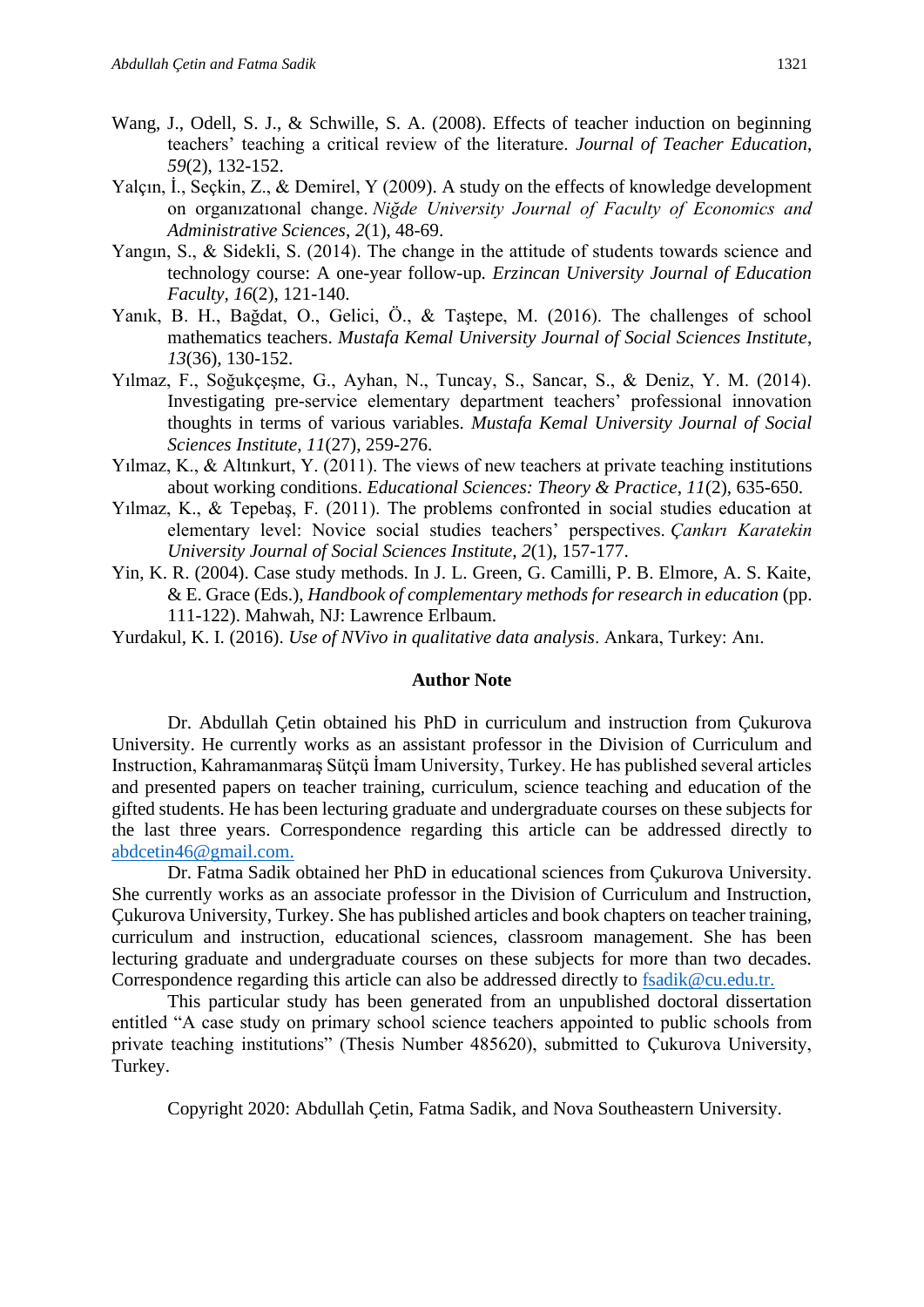- Wang, J., Odell, S. J., & Schwille, S. A. (2008). Effects of teacher induction on beginning teachers' teaching a critical review of the literature. *Journal of Teacher Education*, *59*(2), 132-152.
- Yalçın, İ., Seçkin, Z., & Demirel, Y (2009). A study on the effects of knowledge development on organızatıonal change. *Niğde University Journal of Faculty of Economics and Administrative Sciences*, *2*(1), 48-69.
- Yangın, S., & Sidekli, S. (2014). The change in the attitude of students towards science and technology course: A one-year follow-up*. Erzincan University Journal of Education Faculty, 16*(2), 121-140.
- Yanık, B. H., Bağdat, O., Gelici, Ö., & Taştepe, M. (2016). The challenges of school mathematics teachers. *Mustafa Kemal University Journal of Social Sciences Institute*, *13*(36), 130-152.
- Yılmaz, F., Soğukçeşme, G., Ayhan, N., Tuncay, S., Sancar, S., & Deniz, Y. M. (2014). Investigating pre-service elementary department teachers' professional innovation thoughts in terms of various variables. *Mustafa Kemal University Journal of Social Sciences Institute, 11*(27), 259-276.
- Yılmaz, K., & Altınkurt, Y. (2011). The views of new teachers at private teaching institutions about working conditions. *Educational Sciences: Theory & Practice*, *11*(2), 635-650.
- Yılmaz, K., & Tepebaş, F. (2011). The problems confronted in social studies education at elementary level: Novice social studies teachers' perspectives. *Çankırı Karatekin University Journal of Social Sciences Institute*, *2*(1), 157-177.
- Yin, K. R. (2004). Case study methods*.* In J. L. Green, G. Camilli, P. B. Elmore, A. S. Kaite, & E. Grace (Eds.), *Handbook of complementary methods for research in education* (pp. 111-122). Mahwah, NJ: Lawrence Erlbaum.
- Yurdakul, K. I. (2016). *Use of NVivo in qualitative data analysis*. Ankara, Turkey: Anı.

#### **Author Note**

Dr. Abdullah Çetin obtained his PhD in curriculum and instruction from Çukurova University. He currently works as an assistant professor in the Division of Curriculum and Instruction, Kahramanmaraş Sütçü İmam University, Turkey. He has published several articles and presented papers on teacher training, curriculum, science teaching and education of the gifted students. He has been lecturing graduate and undergraduate courses on these subjects for the last three years. Correspondence regarding this article can be addressed directly to [abdcetin46@gmail.com.](mailto:abdcetin46@gmail.com)

Dr. Fatma Sadik obtained her PhD in educational sciences from Çukurova University. She currently works as an associate professor in the Division of Curriculum and Instruction, Çukurova University, Turkey. She has published articles and book chapters on teacher training, curriculum and instruction, educational sciences, classroom management. She has been lecturing graduate and undergraduate courses on these subjects for more than two decades. Correspondence regarding this article can also be addressed directly to [fsadik@cu.edu.tr.](mailto:fsadik@cu.edu.tr)

This particular study has been generated from an unpublished doctoral dissertation entitled "A case study on primary school science teachers appointed to public schools from private teaching institutions" (Thesis Number 485620), submitted to Çukurova University, Turkey.

Copyright 2020: Abdullah Çetin, Fatma Sadik, and Nova Southeastern University.